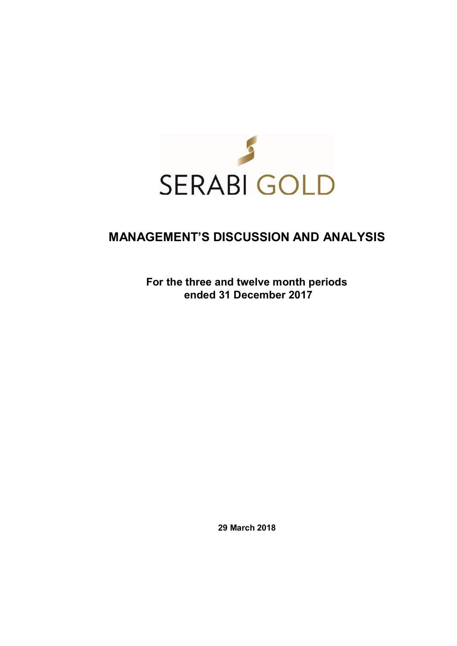

# **MANAGEMENT'S DISCUSSION AND ANALYSIS**

**For the three and twelve month periods ended 31 December 2017** 

**29 March 2018**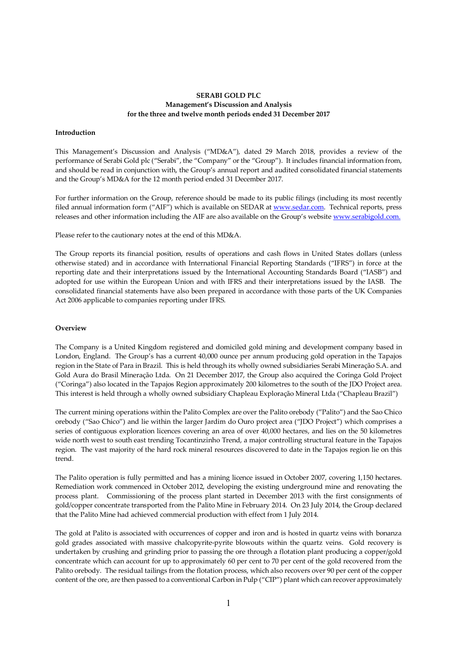# **SERABI GOLD PLC Management's Discussion and Analysis for the three and twelve month periods ended 31 December 2017**

## **Introduction**

This Management's Discussion and Analysis ("MD&A"), dated 29 March 2018, provides a review of the performance of Serabi Gold plc ("Serabi", the "Company" or the "Group"). It includes financial information from, and should be read in conjunction with, the Group's annual report and audited consolidated financial statements and the Group's MD&A for the 12 month period ended 31 December 2017.

For further information on the Group, reference should be made to its public filings (including its most recently filed annual information form ("AIF") which is available on SEDAR at www.sedar.com. Technical reports, press releases and other information including the AIF are also available on the Group's website www.serabigold.com.

Please refer to the cautionary notes at the end of this MD&A.

The Group reports its financial position, results of operations and cash flows in United States dollars (unless otherwise stated) and in accordance with International Financial Reporting Standards ("IFRS") in force at the reporting date and their interpretations issued by the International Accounting Standards Board ("IASB") and adopted for use within the European Union and with IFRS and their interpretations issued by the IASB. The consolidated financial statements have also been prepared in accordance with those parts of the UK Companies Act 2006 applicable to companies reporting under IFRS.

#### **Overview**

The Company is a United Kingdom registered and domiciled gold mining and development company based in London, England. The Group's has a current 40,000 ounce per annum producing gold operation in the Tapajos region in the State of Para in Brazil. This is held through its wholly owned subsidiaries Serabi Mineração S.A. and Gold Aura do Brasil Mineração Ltda. On 21 December 2017, the Group also acquired the Coringa Gold Project ("Coringa") also located in the Tapajos Region approximately 200 kilometres to the south of the JDO Project area. This interest is held through a wholly owned subsidiary Chapleau Exploração Mineral Ltda ("Chapleau Brazil")

The current mining operations within the Palito Complex are over the Palito orebody ("Palito") and the Sao Chico orebody ("Sao Chico") and lie within the larger Jardim do Ouro project area ("JDO Project") which comprises a series of contiguous exploration licences covering an area of over 40,000 hectares, and lies on the 50 kilometres wide north west to south east trending Tocantinzinho Trend, a major controlling structural feature in the Tapajos region. The vast majority of the hard rock mineral resources discovered to date in the Tapajos region lie on this trend.

The Palito operation is fully permitted and has a mining licence issued in October 2007, covering 1,150 hectares. Remediation work commenced in October 2012, developing the existing underground mine and renovating the process plant. Commissioning of the process plant started in December 2013 with the first consignments of gold/copper concentrate transported from the Palito Mine in February 2014. On 23 July 2014, the Group declared that the Palito Mine had achieved commercial production with effect from 1 July 2014.

The gold at Palito is associated with occurrences of copper and iron and is hosted in quartz veins with bonanza gold grades associated with massive chalcopyrite-pyrite blowouts within the quartz veins. Gold recovery is undertaken by crushing and grinding prior to passing the ore through a flotation plant producing a copper/gold concentrate which can account for up to approximately 60 per cent to 70 per cent of the gold recovered from the Palito orebody. The residual tailings from the flotation process, which also recovers over 90 per cent of the copper content of the ore, are then passed to a conventional Carbon in Pulp ("CIP") plant which can recover approximately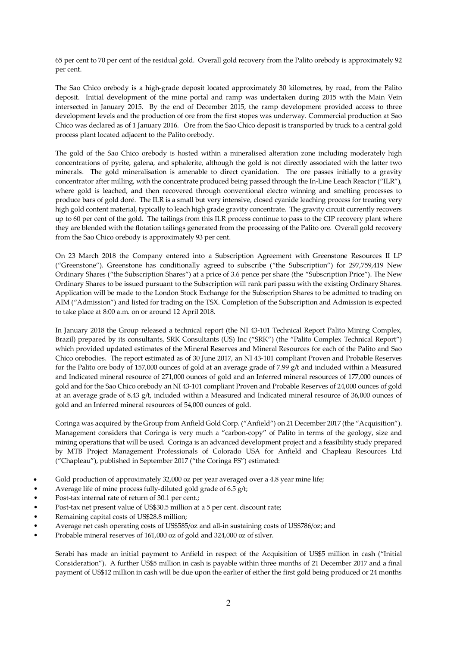65 per cent to 70 per cent of the residual gold. Overall gold recovery from the Palito orebody is approximately 92 per cent.

The Sao Chico orebody is a high-grade deposit located approximately 30 kilometres, by road, from the Palito deposit. Initial development of the mine portal and ramp was undertaken during 2015 with the Main Vein intersected in January 2015. By the end of December 2015, the ramp development provided access to three development levels and the production of ore from the first stopes was underway. Commercial production at Sao Chico was declared as of 1 January 2016. Ore from the Sao Chico deposit is transported by truck to a central gold process plant located adjacent to the Palito orebody.

The gold of the Sao Chico orebody is hosted within a mineralised alteration zone including moderately high concentrations of pyrite, galena, and sphalerite, although the gold is not directly associated with the latter two minerals. The gold mineralisation is amenable to direct cyanidation. The ore passes initially to a gravity concentrator after milling, with the concentrate produced being passed through the In-Line Leach Reactor ("ILR"), where gold is leached, and then recovered through conventional electro winning and smelting processes to produce bars of gold doré. The ILR is a small but very intensive, closed cyanide leaching process for treating very high gold content material, typically to leach high grade gravity concentrate. The gravity circuit currently recovers up to 60 per cent of the gold. The tailings from this ILR process continue to pass to the CIP recovery plant where they are blended with the flotation tailings generated from the processing of the Palito ore. Overall gold recovery from the Sao Chico orebody is approximately 93 per cent.

On 23 March 2018 the Company entered into a Subscription Agreement with Greenstone Resources II LP ("Greenstone"). Greenstone has conditionally agreed to subscribe ("the Subscription") for 297,759,419 New Ordinary Shares ("the Subscription Shares") at a price of 3.6 pence per share (the "Subscription Price"). The New Ordinary Shares to be issued pursuant to the Subscription will rank pari passu with the existing Ordinary Shares. Application will be made to the London Stock Exchange for the Subscription Shares to be admitted to trading on AIM ("Admission") and listed for trading on the TSX. Completion of the Subscription and Admission is expected to take place at 8:00 a.m. on or around 12 April 2018.

In January 2018 the Group released a technical report (the NI 43-101 Technical Report Palito Mining Complex, Brazil) prepared by its consultants, SRK Consultants (US) Inc ("SRK") (the "Palito Complex Technical Report") which provided updated estimates of the Mineral Reserves and Mineral Resources for each of the Palito and Sao Chico orebodies. The report estimated as of 30 June 2017, an NI 43-101 compliant Proven and Probable Reserves for the Palito ore body of 157,000 ounces of gold at an average grade of 7.99 g/t and included within a Measured and Indicated mineral resource of 271,000 ounces of gold and an Inferred mineral resources of 177,000 ounces of gold and for the Sao Chico orebody an NI 43-101 compliant Proven and Probable Reserves of 24,000 ounces of gold at an average grade of 8.43 g/t, included within a Measured and Indicated mineral resource of 36,000 ounces of gold and an Inferred mineral resources of 54,000 ounces of gold.

Coringa was acquired by the Group from Anfield Gold Corp. ("Anfield") on 21 December 2017 (the "Acquisition"). Management considers that Coringa is very much a "carbon-copy" of Palito in terms of the geology, size and mining operations that will be used. Coringa is an advanced development project and a feasibility study prepared by MTB Project Management Professionals of Colorado USA for Anfield and Chapleau Resources Ltd ("Chapleau"), published in September 2017 ("the Coringa FS") estimated:

- Gold production of approximately 32,000 oz per year averaged over a 4.8 year mine life;
- Average life of mine process fully-diluted gold grade of 6.5 g/t;
- Post-tax internal rate of return of 30.1 per cent.;
- Post-tax net present value of US\$30.5 million at a 5 per cent. discount rate;
- Remaining capital costs of US\$28.8 million;
- Average net cash operating costs of US\$585/oz and all-in sustaining costs of US\$786/oz; and
- Probable mineral reserves of 161,000 oz of gold and 324,000 oz of silver.

Serabi has made an initial payment to Anfield in respect of the Acquisition of US\$5 million in cash ("Initial Consideration"). A further US\$5 million in cash is payable within three months of 21 December 2017 and a final payment of US\$12 million in cash will be due upon the earlier of either the first gold being produced or 24 months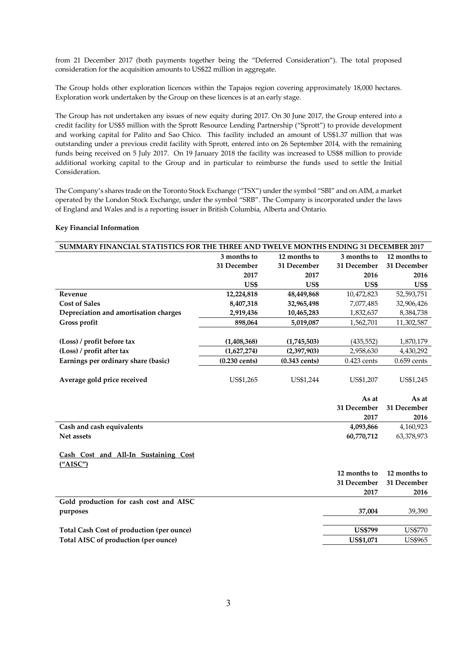from 21 December 2017 (both payments together being the "Deferred Consideration"). The total proposed consideration for the acquisition amounts to US\$22 million in aggregate.

The Group holds other exploration licences within the Tapajos region covering approximately 18,000 hectares. Exploration work undertaken by the Group on these licences is at an early stage.

The Group has not undertaken any issues of new equity during 2017. On 30 June 2017, the Group entered into a credit facility for US\$5 million with the Sprott Resource Lending Partnership ("Sprott") to provide development and working capital for Palito and Sao Chico. This facility included an amount of US\$1.37 million that was outstanding under a previous credit facility with Sprott, entered into on 26 September 2014, with the remaining funds being received on 5 July 2017. On 19 January 2018 the facility was increased to US\$8 million to provide additional working capital to the Group and in particular to reimburse the funds used to settle the Initial Consideration.

The Company's shares trade on the Toronto Stock Exchange ("TSX") under the symbol "SBI" and on AIM, a market operated by the London Stock Exchange, under the symbol "SRB". The Company is incorporated under the laws of England and Wales and is a reporting issuer in British Columbia, Alberta and Ontario.

| SUMMARY FINANCIAL STATISTICS FOR THE THREE AND TWELVE MONTHS ENDING 31 DECEMBER 2017 |                         |                 |                |                |
|--------------------------------------------------------------------------------------|-------------------------|-----------------|----------------|----------------|
|                                                                                      | 3 months to             | 12 months to    | 3 months to    | 12 months to   |
|                                                                                      | 31 December             | 31 December     | 31 December    | 31 December    |
|                                                                                      | 2017                    | 2017            | 2016           | 2016           |
|                                                                                      | US\$                    | US\$            | US\$           | US\$           |
| Revenue                                                                              | 12,224,818              | 48,449,868      | 10,472,823     | 52,593,751     |
| <b>Cost of Sales</b>                                                                 | 8,407,318               | 32,965,498      | 7,077,485      | 32,906,426     |
| Depreciation and amortisation charges                                                | 2,919,436               | 10,465,283      | 1,832,637      | 8,384,738      |
| Gross profit                                                                         | 898,064                 | 5,019,087       | 1,562,701      | 11,302,587     |
|                                                                                      |                         |                 |                |                |
| (Loss) / profit before tax                                                           | (1,408,368)             | (1,745,503)     | (435, 552)     | 1,870,179      |
| (Loss) / profit after tax                                                            | (1,627,274)             | (2,397,903)     | 2,958,630      | 4,430,292      |
| Earnings per ordinary share (basic)                                                  | $(0.230 \text{ cents})$ | $(0.343$ cents) | $0.423$ cents  | $0.659$ cents  |
| Average gold price received                                                          | US\$1,265               | US\$1,244       | US\$1,207      | US\$1,245      |
|                                                                                      |                         |                 |                |                |
|                                                                                      |                         |                 | As at          | As at          |
|                                                                                      |                         |                 | 31 December    | 31 December    |
|                                                                                      |                         |                 | 2017           | 2016           |
| Cash and cash equivalents                                                            |                         |                 | 4,093,866      | 4,160,923      |
| Net assets                                                                           |                         |                 | 60,770,712     | 63,378,973     |
| Cash Cost and All-In Sustaining Cost<br>(''AISC'')                                   |                         |                 |                |                |
|                                                                                      |                         |                 | 12 months to   | 12 months to   |
|                                                                                      |                         |                 | 31 December    | 31 December    |
|                                                                                      |                         |                 | 2017           | 2016           |
| Gold production for cash cost and AISC<br>purposes                                   |                         |                 | 37,004         | 39,390         |
|                                                                                      |                         |                 |                |                |
| <b>Total Cash Cost of production (per ounce)</b>                                     |                         |                 | <b>US\$799</b> | <b>US\$770</b> |
| Total AISC of production (per ounce)                                                 |                         |                 | US\$1,071      | <b>US\$965</b> |
|                                                                                      |                         |                 |                |                |

#### **Key Financial Information**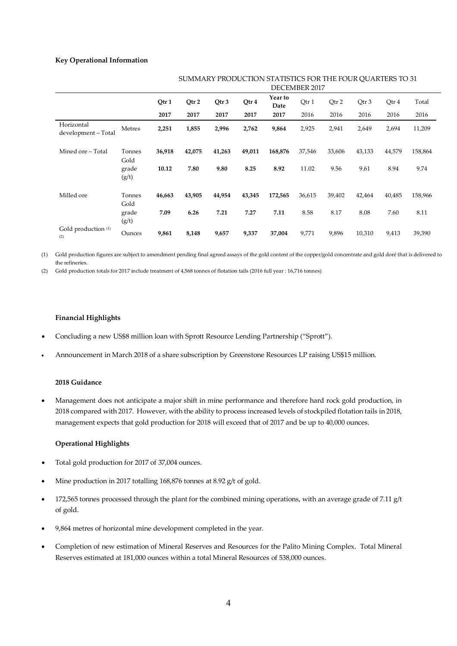# **Key Operational Information**

|                                       |                | oommini Trobochon omnibhco fon mill foon qommillio to of<br>DECEMBER 2017 |        |        |        |                 |        |        |        |        |         |
|---------------------------------------|----------------|---------------------------------------------------------------------------|--------|--------|--------|-----------------|--------|--------|--------|--------|---------|
|                                       |                | Qtr 1                                                                     | Qtr 2  | Qtr 3  | Qtr 4  | Year to<br>Date | Qtr 1  | Qtr 2  | Qtr 3  | Qtr 4  | Total   |
|                                       |                | 2017                                                                      | 2017   | 2017   | 2017   | 2017            | 2016   | 2016   | 2016   | 2016   | 2016    |
| Horizontal<br>development - Total     | Metres         | 2,251                                                                     | 1,855  | 2,996  | 2,762  | 9,864           | 2,925  | 2,941  | 2,649  | 2,694  | 11,209  |
| Mined ore - Total                     | Tonnes<br>Gold | 36,918                                                                    | 42,075 | 41,263 | 49,011 | 168,876         | 37,546 | 33,606 | 43,133 | 44,579 | 158,864 |
|                                       | grade<br>(g/t) | 10.12                                                                     | 7.80   | 9.80   | 8.25   | 8.92            | 11.02  | 9.56   | 9.61   | 8.94   | 9.74    |
| Milled ore                            | Tonnes<br>Gold | 46,663                                                                    | 43,905 | 44,954 | 43,345 | 172,565         | 36,615 | 39,402 | 42,464 | 40,485 | 158,966 |
|                                       | grade<br>(g/t) | 7.09                                                                      | 6.26   | 7.21   | 7.27   | 7.11            | 8.58   | 8.17   | 8.08   | 7.60   | 8.11    |
| Gold production <sup>(1)</sup><br>(2) | Ounces         | 9,861                                                                     | 8,148  | 9,657  | 9,337  | 37,004          | 9,771  | 9,896  | 10,310 | 9,413  | 39,390  |

# SUMMARY PRODUCTION STATISTICS FOR THE FOUR OUARTERS TO 31

(1) Gold production figures are subject to amendment pending final agreed assays of the gold content of the copper/gold concentrate and gold doré that is delivered to the refineries.

(2) Gold production totals for 2017 include treatment of 4,568 tonnes of flotation tails (2016 full year : 16,716 tonnes)

# **Financial Highlights**

- Concluding a new US\$8 million loan with Sprott Resource Lending Partnership ("Sprott").
- Announcement in March 2018 of a share subscription by Greenstone Resources LP raising US\$15 million.

# **2018 Guidance**

 Management does not anticipate a major shift in mine performance and therefore hard rock gold production, in 2018 compared with 2017. However, with the ability to process increased levels of stockpiled flotation tails in 2018, management expects that gold production for 2018 will exceed that of 2017 and be up to 40,000 ounces.

# **Operational Highlights**

- Total gold production for 2017 of 37,004 ounces.
- Mine production in 2017 totalling 168,876 tonnes at 8.92 g/t of gold.
- 172,565 tonnes processed through the plant for the combined mining operations, with an average grade of 7.11 g/t of gold.
- 9,864 metres of horizontal mine development completed in the year.
- Completion of new estimation of Mineral Reserves and Resources for the Palito Mining Complex. Total Mineral Reserves estimated at 181,000 ounces within a total Mineral Resources of 538,000 ounces.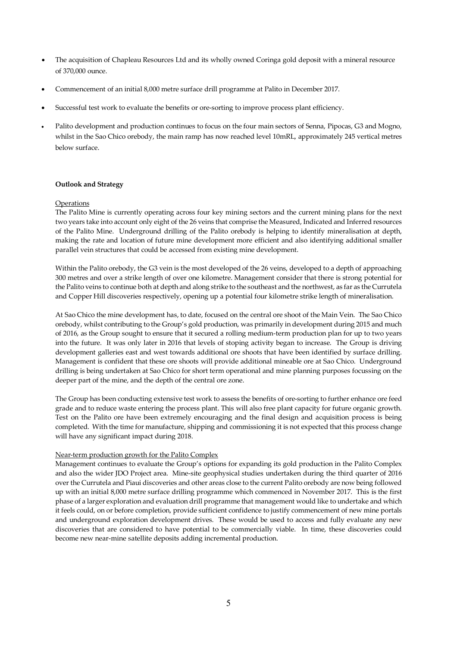- The acquisition of Chapleau Resources Ltd and its wholly owned Coringa gold deposit with a mineral resource of 370,000 ounce.
- Commencement of an initial 8,000 metre surface drill programme at Palito in December 2017.
- Successful test work to evaluate the benefits or ore-sorting to improve process plant efficiency.
- Palito development and production continues to focus on the four main sectors of Senna, Pipocas, G3 and Mogno, whilst in the Sao Chico orebody, the main ramp has now reached level 10mRL, approximately 245 vertical metres below surface.

# **Outlook and Strategy**

# **Operations**

The Palito Mine is currently operating across four key mining sectors and the current mining plans for the next two years take into account only eight of the 26 veins that comprise the Measured, Indicated and Inferred resources of the Palito Mine. Underground drilling of the Palito orebody is helping to identify mineralisation at depth, making the rate and location of future mine development more efficient and also identifying additional smaller parallel vein structures that could be accessed from existing mine development.

Within the Palito orebody, the G3 vein is the most developed of the 26 veins, developed to a depth of approaching 300 metres and over a strike length of over one kilometre. Management consider that there is strong potential for the Palito veins to continue both at depth and along strike to the southeast and the northwest, as far as the Currutela and Copper Hill discoveries respectively, opening up a potential four kilometre strike length of mineralisation.

At Sao Chico the mine development has, to date, focused on the central ore shoot of the Main Vein. The Sao Chico orebody, whilst contributing to the Group's gold production, was primarily in development during 2015 and much of 2016, as the Group sought to ensure that it secured a rolling medium-term production plan for up to two years into the future. It was only later in 2016 that levels of stoping activity began to increase. The Group is driving development galleries east and west towards additional ore shoots that have been identified by surface drilling. Management is confident that these ore shoots will provide additional mineable ore at Sao Chico. Underground drilling is being undertaken at Sao Chico for short term operational and mine planning purposes focussing on the deeper part of the mine, and the depth of the central ore zone.

The Group has been conducting extensive test work to assess the benefits of ore-sorting to further enhance ore feed grade and to reduce waste entering the process plant. This will also free plant capacity for future organic growth. Test on the Palito ore have been extremely encouraging and the final design and acquisition process is being completed. With the time for manufacture, shipping and commissioning it is not expected that this process change will have any significant impact during 2018.

#### Near-term production growth for the Palito Complex

Management continues to evaluate the Group's options for expanding its gold production in the Palito Complex and also the wider JDO Project area. Mine-site geophysical studies undertaken during the third quarter of 2016 over the Currutela and Piaui discoveries and other areas close to the current Palito orebody are now being followed up with an initial 8,000 metre surface drilling programme which commenced in November 2017. This is the first phase of a larger exploration and evaluation drill programme that management would like to undertake and which it feels could, on or before completion, provide sufficient confidence to justify commencement of new mine portals and underground exploration development drives. These would be used to access and fully evaluate any new discoveries that are considered to have potential to be commercially viable. In time, these discoveries could become new near-mine satellite deposits adding incremental production.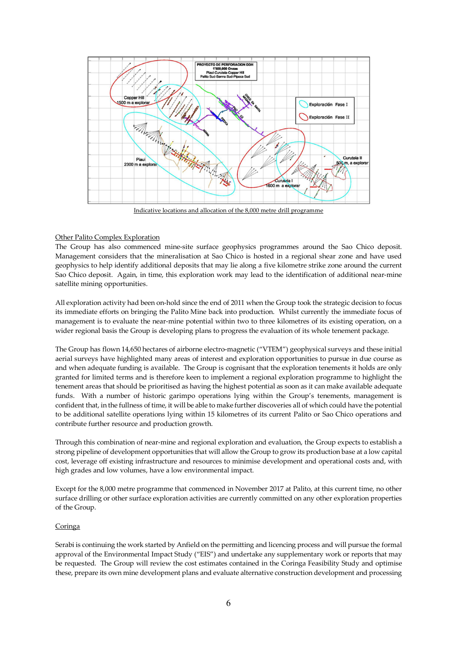

Indicative locations and allocation of the 8,000 metre drill programme

# Other Palito Complex Exploration

The Group has also commenced mine-site surface geophysics programmes around the Sao Chico deposit. Management considers that the mineralisation at Sao Chico is hosted in a regional shear zone and have used geophysics to help identify additional deposits that may lie along a five kilometre strike zone around the current Sao Chico deposit. Again, in time, this exploration work may lead to the identification of additional near-mine satellite mining opportunities.

All exploration activity had been on-hold since the end of 2011 when the Group took the strategic decision to focus its immediate efforts on bringing the Palito Mine back into production. Whilst currently the immediate focus of management is to evaluate the near-mine potential within two to three kilometres of its existing operation, on a wider regional basis the Group is developing plans to progress the evaluation of its whole tenement package.

The Group has flown 14,650 hectares of airborne electro-magnetic ("VTEM") geophysical surveys and these initial aerial surveys have highlighted many areas of interest and exploration opportunities to pursue in due course as and when adequate funding is available. The Group is cognisant that the exploration tenements it holds are only granted for limited terms and is therefore keen to implement a regional exploration programme to highlight the tenement areas that should be prioritised as having the highest potential as soon as it can make available adequate funds. With a number of historic garimpo operations lying within the Group's tenements, management is confident that, in the fullness of time, it will be able to make further discoveries all of which could have the potential to be additional satellite operations lying within 15 kilometres of its current Palito or Sao Chico operations and contribute further resource and production growth.

Through this combination of near-mine and regional exploration and evaluation, the Group expects to establish a strong pipeline of development opportunities that will allow the Group to grow its production base at a low capital cost, leverage off existing infrastructure and resources to minimise development and operational costs and, with high grades and low volumes, have a low environmental impact.

Except for the 8,000 metre programme that commenced in November 2017 at Palito, at this current time, no other surface drilling or other surface exploration activities are currently committed on any other exploration properties of the Group.

#### Coringa

Serabi is continuing the work started by Anfield on the permitting and licencing process and will pursue the formal approval of the Environmental Impact Study ("EIS") and undertake any supplementary work or reports that may be requested. The Group will review the cost estimates contained in the Coringa Feasibility Study and optimise these, prepare its own mine development plans and evaluate alternative construction development and processing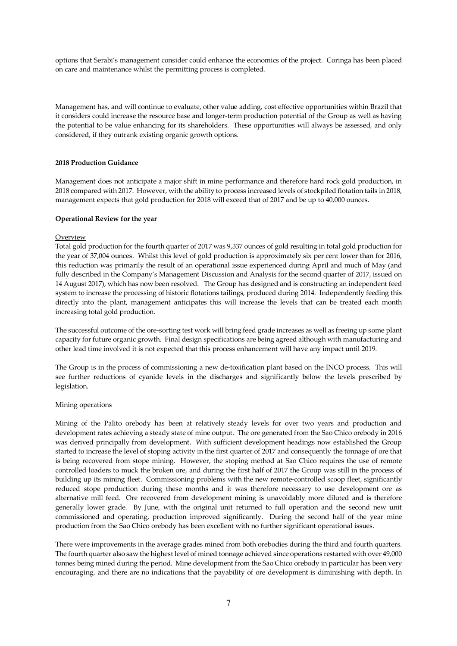options that Serabi's management consider could enhance the economics of the project. Coringa has been placed on care and maintenance whilst the permitting process is completed.

Management has, and will continue to evaluate, other value adding, cost effective opportunities within Brazil that it considers could increase the resource base and longer-term production potential of the Group as well as having the potential to be value enhancing for its shareholders. These opportunities will always be assessed, and only considered, if they outrank existing organic growth options.

# **2018 Production Guidance**

Management does not anticipate a major shift in mine performance and therefore hard rock gold production, in 2018 compared with 2017. However, with the ability to process increased levels of stockpiled flotation tails in 2018, management expects that gold production for 2018 will exceed that of 2017 and be up to 40,000 ounces.

# **Operational Review for the year**

# **Overview**

Total gold production for the fourth quarter of 2017 was 9,337 ounces of gold resulting in total gold production for the year of 37,004 ounces. Whilst this level of gold production is approximately six per cent lower than for 2016, this reduction was primarily the result of an operational issue experienced during April and much of May (and fully described in the Company's Management Discussion and Analysis for the second quarter of 2017, issued on 14 August 2017), which has now been resolved. The Group has designed and is constructing an independent feed system to increase the processing of historic flotations tailings, produced during 2014. Independently feeding this directly into the plant, management anticipates this will increase the levels that can be treated each month increasing total gold production.

The successful outcome of the ore-sorting test work will bring feed grade increases as well as freeing up some plant capacity for future organic growth. Final design specifications are being agreed although with manufacturing and other lead time involved it is not expected that this process enhancement will have any impact until 2019.

The Group is in the process of commissioning a new de-toxification plant based on the INCO process. This will see further reductions of cyanide levels in the discharges and significantly below the levels prescribed by legislation.

#### Mining operations

Mining of the Palito orebody has been at relatively steady levels for over two years and production and development rates achieving a steady state of mine output. The ore generated from the Sao Chico orebody in 2016 was derived principally from development. With sufficient development headings now established the Group started to increase the level of stoping activity in the first quarter of 2017 and consequently the tonnage of ore that is being recovered from stope mining. However, the stoping method at Sao Chico requires the use of remote controlled loaders to muck the broken ore, and during the first half of 2017 the Group was still in the process of building up its mining fleet. Commissioning problems with the new remote-controlled scoop fleet, significantly reduced stope production during these months and it was therefore necessary to use development ore as alternative mill feed. Ore recovered from development mining is unavoidably more diluted and is therefore generally lower grade. By June, with the original unit returned to full operation and the second new unit commissioned and operating, production improved significantly. During the second half of the year mine production from the Sao Chico orebody has been excellent with no further significant operational issues.

There were improvements in the average grades mined from both orebodies during the third and fourth quarters. The fourth quarter also saw the highest level of mined tonnage achieved since operations restarted with over 49,000 tonnes being mined during the period. Mine development from the Sao Chico orebody in particular has been very encouraging, and there are no indications that the payability of ore development is diminishing with depth. In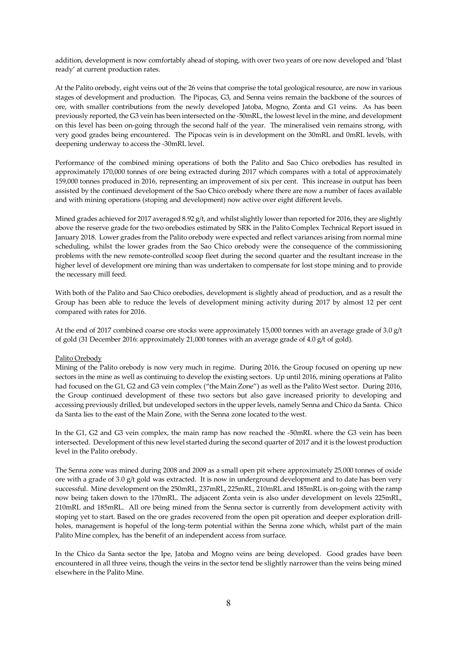addition, development is now comfortably ahead of stoping, with over two years of ore now developed and 'blast ready' at current production rates.

At the Palito orebody, eight veins out of the 26 veins that comprise the total geological resource, are now in various stages of development and production. The Pipocas, G3, and Senna veins remain the backbone of the sources of ore, with smaller contributions from the newly developed Jatoba, Mogno, Zonta and G1 veins. As has been previously reported, the G3 vein has been intersected on the -50mRL, the lowest level in the mine, and development on this level has been on-going through the second half of the year. The mineralised vein remains strong, with very good grades being encountered. The Pipocas vein is in development on the 30mRL and 0mRL levels, with deepening underway to access the -30mRL level.

Performance of the combined mining operations of both the Palito and Sao Chico orebodies has resulted in approximately 170,000 tonnes of ore being extracted during 2017 which compares with a total of approximately 159,000 tonnes produced in 2016, representing an improvement of six per cent. This increase in output has been assisted by the continued development of the Sao Chico orebody where there are now a number of faces available and with mining operations (stoping and development) now active over eight different levels.

Mined grades achieved for 2017 averaged 8.92 g/t, and whilst slightly lower than reported for 2016, they are slightly above the reserve grade for the two orebodies estimated by SRK in the Palito Complex Technical Report issued in January 2018. Lower grades from the Palito orebody were expected and reflect variances arising from normal mine scheduling, whilst the lower grades from the Sao Chico orebody were the consequence of the commissioning problems with the new remote-controlled scoop fleet during the second quarter and the resultant increase in the higher level of development ore mining than was undertaken to compensate for lost stope mining and to provide the necessary mill feed.

With both of the Palito and Sao Chico orebodies, development is slightly ahead of production, and as a result the Group has been able to reduce the levels of development mining activity during 2017 by almost 12 per cent compared with rates for 2016.

At the end of 2017 combined coarse ore stocks were approximately 15,000 tonnes with an average grade of 3.0 g/t of gold (31 December 2016: approximately 21,000 tonnes with an average grade of 4.0 g/t of gold).

# Palito Orebody

Mining of the Palito orebody is now very much in regime. During 2016, the Group focused on opening up new sectors in the mine as well as continuing to develop the existing sectors. Up until 2016, mining operations at Palito had focused on the G1, G2 and G3 vein complex ("the Main Zone") as well as the Palito West sector. During 2016, the Group continued development of these two sectors but also gave increased priority to developing and accessing previously drilled, but undeveloped sectors in the upper levels, namely Senna and Chico da Santa. Chico da Santa lies to the east of the Main Zone, with the Senna zone located to the west.

In the G1, G2 and G3 vein complex, the main ramp has now reached the -50mRL where the G3 vein has been intersected. Development of this new level started during the second quarter of 2017 and it is the lowest production level in the Palito orebody.

The Senna zone was mined during 2008 and 2009 as a small open pit where approximately 25,000 tonnes of oxide ore with a grade of 3.0 g/t gold was extracted. It is now in underground development and to date has been very successful. Mine development on the 250mRL, 237mRL, 225mRL, 210mRL and 185mRL is on-going with the ramp now being taken down to the 170mRL. The adjacent Zonta vein is also under development on levels 225mRL, 210mRL and 185mRL. All ore being mined from the Senna sector is currently from development activity with stoping yet to start. Based on the ore grades recovered from the open pit operation and deeper exploration drillholes, management is hopeful of the long-term potential within the Senna zone which, whilst part of the main Palito Mine complex, has the benefit of an independent access from surface.

In the Chico da Santa sector the Ipe, Jatoba and Mogno veins are being developed. Good grades have been encountered in all three veins, though the veins in the sector tend be slightly narrower than the veins being mined elsewhere in the Palito Mine.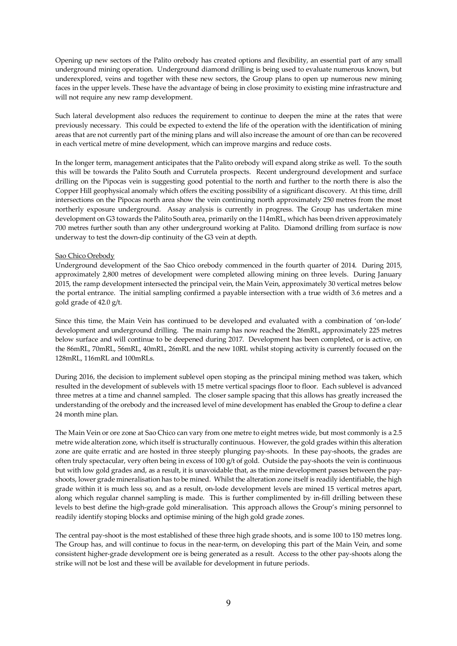Opening up new sectors of the Palito orebody has created options and flexibility, an essential part of any small underground mining operation. Underground diamond drilling is being used to evaluate numerous known, but underexplored, veins and together with these new sectors, the Group plans to open up numerous new mining faces in the upper levels. These have the advantage of being in close proximity to existing mine infrastructure and will not require any new ramp development.

Such lateral development also reduces the requirement to continue to deepen the mine at the rates that were previously necessary. This could be expected to extend the life of the operation with the identification of mining areas that are not currently part of the mining plans and will also increase the amount of ore than can be recovered in each vertical metre of mine development, which can improve margins and reduce costs.

In the longer term, management anticipates that the Palito orebody will expand along strike as well. To the south this will be towards the Palito South and Currutela prospects. Recent underground development and surface drilling on the Pipocas vein is suggesting good potential to the north and further to the north there is also the Copper Hill geophysical anomaly which offers the exciting possibility of a significant discovery. At this time, drill intersections on the Pipocas north area show the vein continuing north approximately 250 metres from the most northerly exposure underground. Assay analysis is currently in progress. The Group has undertaken mine development on G3 towards the Palito South area, primarily on the 114mRL, which has been driven approximately 700 metres further south than any other underground working at Palito. Diamond drilling from surface is now underway to test the down-dip continuity of the G3 vein at depth.

#### Sao Chico Orebody

Underground development of the Sao Chico orebody commenced in the fourth quarter of 2014. During 2015, approximately 2,800 metres of development were completed allowing mining on three levels. During January 2015, the ramp development intersected the principal vein, the Main Vein, approximately 30 vertical metres below the portal entrance. The initial sampling confirmed a payable intersection with a true width of 3.6 metres and a gold grade of 42.0 g/t.

Since this time, the Main Vein has continued to be developed and evaluated with a combination of 'on-lode' development and underground drilling. The main ramp has now reached the 26mRL, approximately 225 metres below surface and will continue to be deepened during 2017. Development has been completed, or is active, on the 86mRL, 70mRL, 56mRL, 40mRL, 26mRL and the new 10RL whilst stoping activity is currently focused on the 128mRL, 116mRL and 100mRLs.

During 2016, the decision to implement sublevel open stoping as the principal mining method was taken, which resulted in the development of sublevels with 15 metre vertical spacings floor to floor. Each sublevel is advanced three metres at a time and channel sampled. The closer sample spacing that this allows has greatly increased the understanding of the orebody and the increased level of mine development has enabled the Group to define a clear 24 month mine plan.

The Main Vein or ore zone at Sao Chico can vary from one metre to eight metres wide, but most commonly is a 2.5 metre wide alteration zone, which itself is structurally continuous. However, the gold grades within this alteration zone are quite erratic and are hosted in three steeply plunging pay-shoots. In these pay-shoots, the grades are often truly spectacular, very often being in excess of 100 g/t of gold. Outside the pay-shoots the vein is continuous but with low gold grades and, as a result, it is unavoidable that, as the mine development passes between the payshoots, lower grade mineralisation has to be mined. Whilst the alteration zone itself is readily identifiable, the high grade within it is much less so, and as a result, on-lode development levels are mined 15 vertical metres apart, along which regular channel sampling is made. This is further complimented by in-fill drilling between these levels to best define the high-grade gold mineralisation. This approach allows the Group's mining personnel to readily identify stoping blocks and optimise mining of the high gold grade zones.

The central pay-shoot is the most established of these three high grade shoots, and is some 100 to 150 metres long. The Group has, and will continue to focus in the near-term, on developing this part of the Main Vein, and some consistent higher-grade development ore is being generated as a result. Access to the other pay-shoots along the strike will not be lost and these will be available for development in future periods.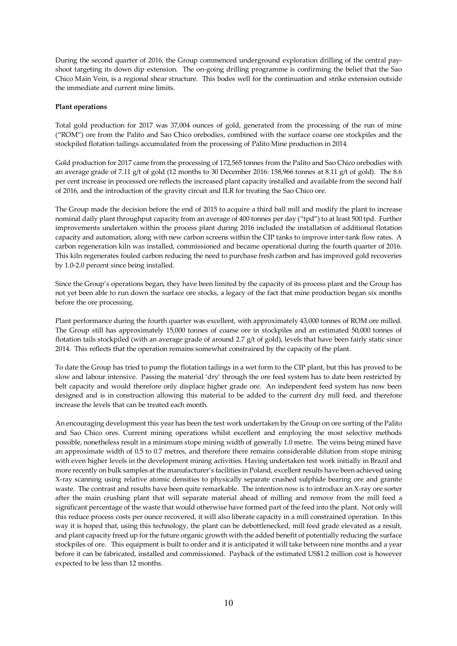During the second quarter of 2016, the Group commenced underground exploration drilling of the central payshoot targeting its down dip extension. The on-going drilling programme is confirming the belief that the Sao Chico Main Vein, is a regional shear structure. This bodes well for the continuation and strike extension outside the immediate and current mine limits.

# **Plant operations**

Total gold production for 2017 was 37,004 ounces of gold, generated from the processing of the run of mine ("ROM") ore from the Palito and Sao Chico orebodies, combined with the surface coarse ore stockpiles and the stockpiled flotation tailings accumulated from the processing of Palito Mine production in 2014.

Gold production for 2017 came from the processing of 172,565 tonnes from the Palito and Sao Chico orebodies with an average grade of 7.11 g/t of gold (12 months to 30 December 2016: 158,966 tonnes at 8.11 g/t of gold). The 8.6 per cent increase in processed ore reflects the increased plant capacity installed and available from the second half of 2016, and the introduction of the gravity circuit and ILR for treating the Sao Chico ore.

The Group made the decision before the end of 2015 to acquire a third ball mill and modify the plant to increase nominal daily plant throughput capacity from an average of 400 tonnes per day ("tpd") to at least 500 tpd. Further improvements undertaken within the process plant during 2016 included the installation of additional flotation capacity and automation, along with new carbon screens within the CIP tanks to improve inter-tank flow rates. A carbon regeneration kiln was installed, commissioned and became operational during the fourth quarter of 2016. This kiln regenerates fouled carbon reducing the need to purchase fresh carbon and has improved gold recoveries by 1.0-2.0 percent since being installed.

Since the Group's operations began, they have been limited by the capacity of its process plant and the Group has not yet been able to run down the surface ore stocks, a legacy of the fact that mine production began six months before the ore processing.

Plant performance during the fourth quarter was excellent, with approximately 43,000 tonnes of ROM ore milled. The Group still has approximately 15,000 tonnes of coarse ore in stockpiles and an estimated 50,000 tonnes of flotation tails stockpiled (with an average grade of around 2.7 g/t of gold), levels that have been fairly static since 2014. This reflects that the operation remains somewhat constrained by the capacity of the plant.

To date the Group has tried to pump the flotation tailings in a wet form to the CIP plant, but this has proved to be slow and labour intensive. Passing the material 'dry' through the ore feed system has to date been restricted by belt capacity and would therefore only displace higher grade ore. An independent feed system has now been designed and is in construction allowing this material to be added to the current dry mill feed, and therefore increase the levels that can be treated each month.

An encouraging development this year has been the test work undertaken by the Group on ore sorting of the Palito and Sao Chico ores. Current mining operations whilst excellent and employing the most selective methods possible, nonetheless result in a minimum stope mining width of generally 1.0 metre. The veins being mined have an approximate width of 0.5 to 0.7 metres, and therefore there remains considerable dilution from stope mining with even higher levels in the development mining activities. Having undertaken test work initially in Brazil and more recently on bulk samples at the manufacturer's facilities in Poland, excellent results have been achieved using X-ray scanning using relative atomic densities to physically separate crushed sulphide bearing ore and granite waste. The contrast and results have been quite remarkable. The intention now is to introduce an X-ray ore sorter after the main crushing plant that will separate material ahead of milling and remove from the mill feed a significant percentage of the waste that would otherwise have formed part of the feed into the plant. Not only will this reduce process costs per ounce recovered, it will also liberate capacity in a mill constrained operation. In this way it is hoped that, using this technology, the plant can be debottlenecked, mill feed grade elevated as a result, and plant capacity freed up for the future organic growth with the added benefit of potentially reducing the surface stockpiles of ore. This equipment is built to order and it is anticipated it will take between nine months and a year before it can be fabricated, installed and commissioned. Payback of the estimated US\$1.2 million cost is however expected to be less than 12 months.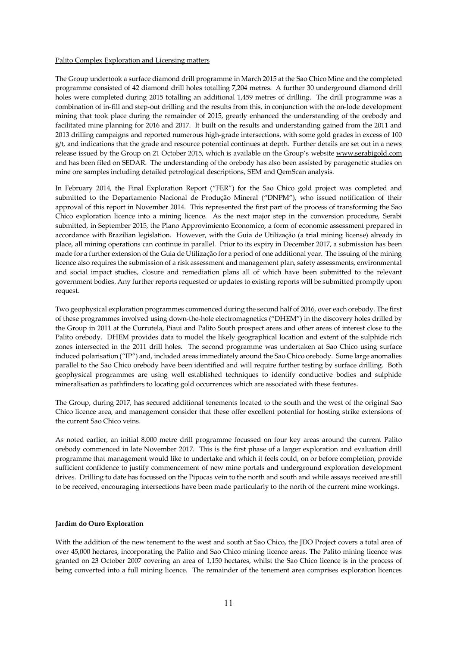#### Palito Complex Exploration and Licensing matters

The Group undertook a surface diamond drill programme in March 2015 at the Sao Chico Mine and the completed programme consisted of 42 diamond drill holes totalling 7,204 metres. A further 30 underground diamond drill holes were completed during 2015 totalling an additional 1,459 metres of drilling. The drill programme was a combination of in-fill and step-out drilling and the results from this, in conjunction with the on-lode development mining that took place during the remainder of 2015, greatly enhanced the understanding of the orebody and facilitated mine planning for 2016 and 2017. It built on the results and understanding gained from the 2011 and 2013 drilling campaigns and reported numerous high-grade intersections, with some gold grades in excess of 100  $g/t$ , and indications that the grade and resource potential continues at depth. Further details are set out in a news release issued by the Group on 21 October 2015, which is available on the Group's website www.serabigold.com and has been filed on SEDAR. The understanding of the orebody has also been assisted by paragenetic studies on mine ore samples including detailed petrological descriptions, SEM and QemScan analysis.

In February 2014, the Final Exploration Report ("FER") for the Sao Chico gold project was completed and submitted to the Departamento Nacional de Produção Mineral ("DNPM"), who issued notification of their approval of this report in November 2014. This represented the first part of the process of transforming the Sao Chico exploration licence into a mining licence. As the next major step in the conversion procedure, Serabi submitted, in September 2015, the Plano Approvimiento Economico, a form of economic assessment prepared in accordance with Brazilian legislation. However, with the Guia de Utilização (a trial mining license) already in place, all mining operations can continue in parallel. Prior to its expiry in December 2017, a submission has been made for a further extension of the Guia de Utilização for a period of one additional year. The issuing of the mining licence also requires the submission of a risk assessment and management plan, safety assessments, environmental and social impact studies, closure and remediation plans all of which have been submitted to the relevant government bodies. Any further reports requested or updates to existing reports will be submitted promptly upon request.

Two geophysical exploration programmes commenced during the second half of 2016, over each orebody. The first of these programmes involved using down-the-hole electromagnetics ("DHEM") in the discovery holes drilled by the Group in 2011 at the Currutela, Piaui and Palito South prospect areas and other areas of interest close to the Palito orebody. DHEM provides data to model the likely geographical location and extent of the sulphide rich zones intersected in the 2011 drill holes. The second programme was undertaken at Sao Chico using surface induced polarisation ("IP") and, included areas immediately around the Sao Chico orebody. Some large anomalies parallel to the Sao Chico orebody have been identified and will require further testing by surface drilling. Both geophysical programmes are using well established techniques to identify conductive bodies and sulphide mineralisation as pathfinders to locating gold occurrences which are associated with these features.

The Group, during 2017, has secured additional tenements located to the south and the west of the original Sao Chico licence area, and management consider that these offer excellent potential for hosting strike extensions of the current Sao Chico veins.

As noted earlier, an initial 8,000 metre drill programme focussed on four key areas around the current Palito orebody commenced in late November 2017. This is the first phase of a larger exploration and evaluation drill programme that management would like to undertake and which it feels could, on or before completion, provide sufficient confidence to justify commencement of new mine portals and underground exploration development drives. Drilling to date has focussed on the Pipocas vein to the north and south and while assays received are still to be received, encouraging intersections have been made particularly to the north of the current mine workings.

### **Jardim do Ouro Exploration**

With the addition of the new tenement to the west and south at Sao Chico, the JDO Project covers a total area of over 45,000 hectares, incorporating the Palito and Sao Chico mining licence areas. The Palito mining licence was granted on 23 October 2007 covering an area of 1,150 hectares, whilst the Sao Chico licence is in the process of being converted into a full mining licence. The remainder of the tenement area comprises exploration licences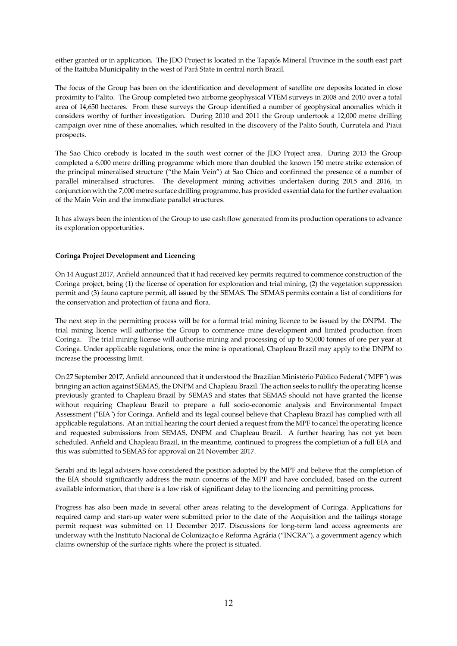either granted or in application. The JDO Project is located in the Tapajós Mineral Province in the south east part of the Itaituba Municipality in the west of Pará State in central north Brazil.

The focus of the Group has been on the identification and development of satellite ore deposits located in close proximity to Palito. The Group completed two airborne geophysical VTEM surveys in 2008 and 2010 over a total area of 14,650 hectares. From these surveys the Group identified a number of geophysical anomalies which it considers worthy of further investigation. During 2010 and 2011 the Group undertook a 12,000 metre drilling campaign over nine of these anomalies, which resulted in the discovery of the Palito South, Currutela and Piaui prospects.

The Sao Chico orebody is located in the south west corner of the JDO Project area. During 2013 the Group completed a 6,000 metre drilling programme which more than doubled the known 150 metre strike extension of the principal mineralised structure ("the Main Vein") at Sao Chico and confirmed the presence of a number of parallel mineralised structures. The development mining activities undertaken during 2015 and 2016, in conjunction with the 7,000 metre surface drilling programme, has provided essential data for the further evaluation of the Main Vein and the immediate parallel structures.

It has always been the intention of the Group to use cash flow generated from its production operations to advance its exploration opportunities.

# **Coringa Project Development and Licencing**

On 14 August 2017, Anfield announced that it had received key permits required to commence construction of the Coringa project, being (1) the license of operation for exploration and trial mining, (2) the vegetation suppression permit and (3) fauna capture permit, all issued by the SEMAS. The SEMAS permits contain a list of conditions for the conservation and protection of fauna and flora.

The next step in the permitting process will be for a formal trial mining licence to be issued by the DNPM. The trial mining licence will authorise the Group to commence mine development and limited production from Coringa. The trial mining license will authorise mining and processing of up to 50,000 tonnes of ore per year at Coringa. Under applicable regulations, once the mine is operational, Chapleau Brazil may apply to the DNPM to increase the processing limit.

On 27 September 2017, Anfield announced that it understood the Brazilian Ministério Público Federal ("MPF") was bringing an action against SEMAS, the DNPM and Chapleau Brazil. The action seeks to nullify the operating license previously granted to Chapleau Brazil by SEMAS and states that SEMAS should not have granted the license without requiring Chapleau Brazil to prepare a full socio-economic analysis and Environmental Impact Assessment ("EIA") for Coringa. Anfield and its legal counsel believe that Chapleau Brazil has complied with all applicable regulations. At an initial hearing the court denied a request from the MPF to cancel the operating licence and requested submissions from SEMAS, DNPM and Chapleau Brazil. A further hearing has not yet been scheduled. Anfield and Chapleau Brazil, in the meantime, continued to progress the completion of a full EIA and this was submitted to SEMAS for approval on 24 November 2017.

Serabi and its legal advisers have considered the position adopted by the MPF and believe that the completion of the EIA should significantly address the main concerns of the MPF and have concluded, based on the current available information, that there is a low risk of significant delay to the licencing and permitting process.

Progress has also been made in several other areas relating to the development of Coringa. Applications for required camp and start-up water were submitted prior to the date of the Acquisition and the tailings storage permit request was submitted on 11 December 2017. Discussions for long-term land access agreements are underway with the Instituto Nacional de Colonização e Reforma Agrária ("INCRA"), a government agency which claims ownership of the surface rights where the project is situated.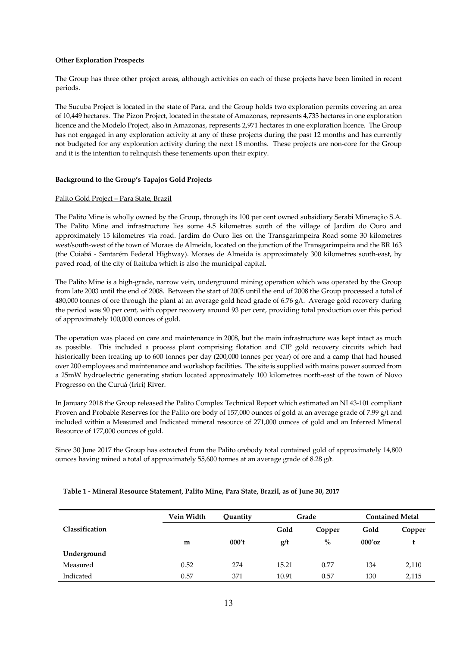# **Other Exploration Prospects**

The Group has three other project areas, although activities on each of these projects have been limited in recent periods.

The Sucuba Project is located in the state of Para, and the Group holds two exploration permits covering an area of 10,449 hectares. The Pizon Project, located in the state of Amazonas, represents 4,733 hectares in one exploration licence and the Modelo Project, also in Amazonas, represents 2,971 hectares in one exploration licence. The Group has not engaged in any exploration activity at any of these projects during the past 12 months and has currently not budgeted for any exploration activity during the next 18 months. These projects are non-core for the Group and it is the intention to relinquish these tenements upon their expiry.

# **Background to the Group's Tapajos Gold Projects**

### Palito Gold Project – Para State, Brazil

The Palito Mine is wholly owned by the Group, through its 100 per cent owned subsidiary Serabi Mineração S.A. The Palito Mine and infrastructure lies some 4.5 kilometres south of the village of Jardim do Ouro and approximately 15 kilometres via road. Jardim do Ouro lies on the Transgarimpeira Road some 30 kilometres west/south-west of the town of Moraes de Almeida, located on the junction of the Transgarimpeira and the BR 163 (the Cuiabá - Santarém Federal Highway). Moraes de Almeida is approximately 300 kilometres south-east, by paved road, of the city of Itaituba which is also the municipal capital.

The Palito Mine is a high-grade, narrow vein, underground mining operation which was operated by the Group from late 2003 until the end of 2008. Between the start of 2005 until the end of 2008 the Group processed a total of 480,000 tonnes of ore through the plant at an average gold head grade of 6.76  $g/t$ . Average gold recovery during the period was 90 per cent, with copper recovery around 93 per cent, providing total production over this period of approximately 100,000 ounces of gold.

The operation was placed on care and maintenance in 2008, but the main infrastructure was kept intact as much as possible. This included a process plant comprising flotation and CIP gold recovery circuits which had historically been treating up to 600 tonnes per day (200,000 tonnes per year) of ore and a camp that had housed over 200 employees and maintenance and workshop facilities. The site is supplied with mains power sourced from a 25mW hydroelectric generating station located approximately 100 kilometres north-east of the town of Novo Progresso on the Curuá (Iriri) River.

In January 2018 the Group released the Palito Complex Technical Report which estimated an NI 43-101 compliant Proven and Probable Reserves for the Palito ore body of 157,000 ounces of gold at an average grade of 7.99 g/t and included within a Measured and Indicated mineral resource of 271,000 ounces of gold and an Inferred Mineral Resource of 177,000 ounces of gold.

Since 30 June 2017 the Group has extracted from the Palito orebody total contained gold of approximately 14,800 ounces having mined a total of approximately 55,600 tonnes at an average grade of 8.28 g/t.

|                | Vein Width | Ouantity |       | Grade  |           | <b>Contained Metal</b> |
|----------------|------------|----------|-------|--------|-----------|------------------------|
| Classification |            |          | Gold  | Copper | Gold      | Copper                 |
|                | m          | 000't    | g/t   | $\%$   | $000'$ oz |                        |
| Underground    |            |          |       |        |           |                        |
| Measured       | 0.52       | 274      | 15.21 | 0.77   | 134       | 2,110                  |
| Indicated      | 0.57       | 371      | 10.91 | 0.57   | 130       | 2,115                  |

### **Table 1 - Mineral Resource Statement, Palito Mine, Para State, Brazil, as of June 30, 2017**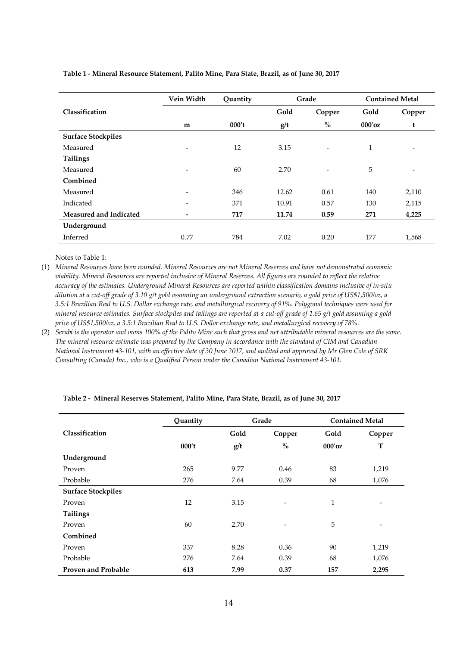|                           | Vein Width               | Quantity |       | Grade                    |              | <b>Contained Metal</b>   |
|---------------------------|--------------------------|----------|-------|--------------------------|--------------|--------------------------|
| Classification            |                          |          | Gold  | Copper                   | Gold         | Copper                   |
|                           | m                        | 000't    | g/t   | $\%$                     | $000'$ oz    | t                        |
| <b>Surface Stockpiles</b> |                          |          |       |                          |              |                          |
| Measured                  | ۰                        | 12       | 3.15  | $\overline{\phantom{a}}$ | $\mathbf{1}$ |                          |
| Tailings                  |                          |          |       |                          |              |                          |
| Measured                  | $\overline{\phantom{m}}$ | 60       | 2.70  | $\overline{\phantom{0}}$ | 5            | $\overline{\phantom{a}}$ |
| Combined                  |                          |          |       |                          |              |                          |
| Measured                  | $\overline{\phantom{a}}$ | 346      | 12.62 | 0.61                     | 140          | 2,110                    |
| Indicated                 | $\overline{\phantom{a}}$ | 371      | 10.91 | 0.57                     | 130          | 2,115                    |
| Measured and Indicated    | $\overline{a}$           | 717      | 11.74 | 0.59                     | 271          | 4,225                    |
| Underground               |                          |          |       |                          |              |                          |
| Inferred                  | 0.77                     | 784      | 7.02  | 0.20                     | 177          | 1,568                    |

## **Table 1 - Mineral Resource Statement, Palito Mine, Para State, Brazil, as of June 30, 2017**

Notes to Table 1:

(1) *Mineral Resources have been rounded. Mineral Resources are not Mineral Reserves and have not demonstrated economic viability. Mineral Resources are reported inclusive of Mineral Reserves. All figures are rounded to reflect the relative accuracy of the estimates. Underground Mineral Resources are reported within classification domains inclusive of in-situ dilution at a cut-off grade of 3.10 g/t gold assuming an underground extraction scenario, a gold price of US\$1,500/oz, a 3.5:1 Brazilian Real to U.S. Dollar exchange rate, and metallurgical recovery of 91%. Polygonal techniques were used for mineral resource estimates. Surface stockpiles and tailings are reported at a cut-off grade of 1.65 g/t gold assuming a gold price of US\$1,500/oz, a 3.5:1 Brazilian Real to U.S. Dollar exchange rate, and metallurgical recovery of 78%.* 

(2) *Serabi is the operator and owns 100% of the Palito Mine such that gross and net attributable mineral resources are the same. The mineral resource estimate was prepared by the Company in accordance with the standard of CIM and Canadian National Instrument 43-101, with an effective date of 30 June 2017, and audited and approved by Mr Glen Cole of SRK Consulting (Canada) Inc., who is a Qualified Person under the Canadian National Instrument 43-101.* 

|                            | Quantity |      | Grade                              | <b>Contained Metal</b> |                          |  |
|----------------------------|----------|------|------------------------------------|------------------------|--------------------------|--|
| Classification             |          | Gold | Copper                             | Gold                   | Copper                   |  |
|                            | 000't    | g/t  | $\mathbf{0}_{\mathbf{0}}^{\prime}$ | $000'$ oz              | T                        |  |
| Underground                |          |      |                                    |                        |                          |  |
| Proven                     | 265      | 9.77 | 0.46                               | 83                     | 1,219                    |  |
| Probable                   | 276      | 7.64 | 0.39                               | 68                     | 1,076                    |  |
| <b>Surface Stockpiles</b>  |          |      |                                    |                        |                          |  |
| Proven                     | 12       | 3.15 | $\overline{\phantom{a}}$           | $\mathbf{1}$           | $\overline{\phantom{a}}$ |  |
| Tailings                   |          |      |                                    |                        |                          |  |
| Proven                     | 60       | 2.70 |                                    | 5                      | $\overline{\phantom{a}}$ |  |
| Combined                   |          |      |                                    |                        |                          |  |
| Proven                     | 337      | 8.28 | 0.36                               | 90                     | 1,219                    |  |
| Probable                   | 276      | 7.64 | 0.39                               | 68                     | 1,076                    |  |
| <b>Proven and Probable</b> | 613      | 7.99 | 0.37                               | 157                    | 2,295                    |  |

# **Table 2 - Mineral Reserves Statement, Palito Mine, Para State, Brazil, as of June 30, 2017**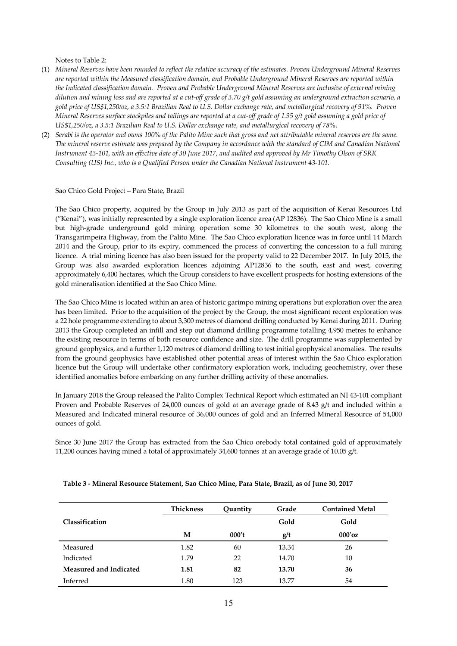Notes to Table 2:

- (1) *Mineral Reserves have been rounded to reflect the relative accuracy of the estimates. Proven Underground Mineral Reserves are reported within the Measured classification domain, and Probable Underground Mineral Reserves are reported within the Indicated classification domain. Proven and Probable Underground Mineral Reserves are inclusive of external mining dilution and mining loss and are reported at a cut-off grade of 3.70 g/t gold assuming an underground extraction scenario, a gold price of US\$1,250/oz, a 3.5:1 Brazilian Real to U.S. Dollar exchange rate, and metallurgical recovery of 91%. Proven Mineral Reserves surface stockpiles and tailings are reported at a cut-off grade of 1.95 g/t gold assuming a gold price of US\$1,250/oz, a 3.5:1 Brazilian Real to U.S. Dollar exchange rate, and metallurgical recovery of 78%.*
- (2) *Serabi is the operator and owns 100% of the Palito Mine such that gross and net attributable mineral reserves are the same. The mineral reserve estimate was prepared by the Company in accordance with the standard of CIM and Canadian National Instrument 43-101, with an effective date of 30 June 2017, and audited and approved by Mr Timothy Olson of SRK Consulting (US) Inc., who is a Qualified Person under the Canadian National Instrument 43-101.*

# Sao Chico Gold Project – Para State, Brazil

The Sao Chico property, acquired by the Group in July 2013 as part of the acquisition of Kenai Resources Ltd ("Kenai"), was initially represented by a single exploration licence area (AP 12836). The Sao Chico Mine is a small but high-grade underground gold mining operation some 30 kilometres to the south west, along the Transgarimpeira Highway, from the Palito Mine. The Sao Chico exploration licence was in force until 14 March 2014 and the Group, prior to its expiry, commenced the process of converting the concession to a full mining licence. A trial mining licence has also been issued for the property valid to 22 December 2017. In July 2015, the Group was also awarded exploration licences adjoining AP12836 to the south, east and west, covering approximately 6,400 hectares, which the Group considers to have excellent prospects for hosting extensions of the gold mineralisation identified at the Sao Chico Mine.

The Sao Chico Mine is located within an area of historic garimpo mining operations but exploration over the area has been limited. Prior to the acquisition of the project by the Group, the most significant recent exploration was a 22 hole programme extending to about 3,300 metres of diamond drilling conducted by Kenai during 2011. During 2013 the Group completed an infill and step out diamond drilling programme totalling 4,950 metres to enhance the existing resource in terms of both resource confidence and size. The drill programme was supplemented by ground geophysics, and a further 1,120 metres of diamond drilling to test initial geophysical anomalies. The results from the ground geophysics have established other potential areas of interest within the Sao Chico exploration licence but the Group will undertake other confirmatory exploration work, including geochemistry, over these identified anomalies before embarking on any further drilling activity of these anomalies.

In January 2018 the Group released the Palito Complex Technical Report which estimated an NI 43-101 compliant Proven and Probable Reserves of 24,000 ounces of gold at an average grade of 8.43 g/t and included within a Measured and Indicated mineral resource of 36,000 ounces of gold and an Inferred Mineral Resource of 54,000 ounces of gold.

Since 30 June 2017 the Group has extracted from the Sao Chico orebody total contained gold of approximately 11,200 ounces having mined a total of approximately 34,600 tonnes at an average grade of 10.05 g/t.

|                               | <b>Thickness</b> | Quantity | Grade | <b>Contained Metal</b> |
|-------------------------------|------------------|----------|-------|------------------------|
| Classification                |                  |          | Gold  | Gold                   |
|                               | М                | 000't    | g/t   | $000'$ oz              |
| Measured                      | 1.82             | 60       | 13.34 | 26                     |
| Indicated                     | 1.79             | 22       | 14.70 | 10                     |
| <b>Measured and Indicated</b> | 1.81             | 82       | 13.70 | 36                     |
| <b>I</b> nferred              | 1.80             | 123      | 13.77 | 54                     |

#### **Table 3 - Mineral Resource Statement, Sao Chico Mine, Para State, Brazil, as of June 30, 2017**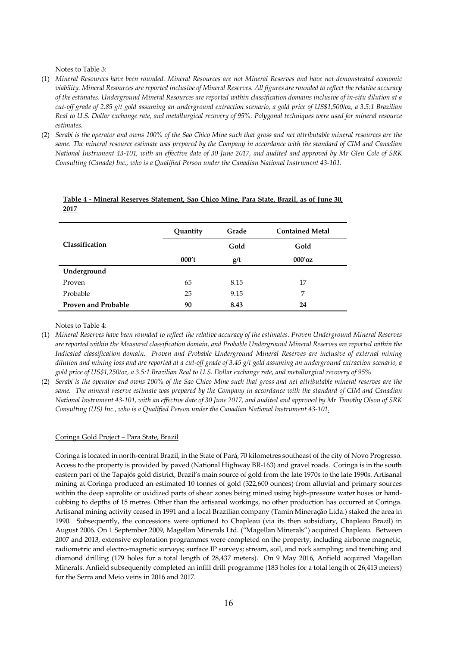Notes to Table 3:

- (1) *Mineral Resources have been rounded. Mineral Resources are not Mineral Reserves and have not demonstrated economic viability. Mineral Resources are reported inclusive of Mineral Reserves. All figures are rounded to reflect the relative accuracy of the estimates. Underground Mineral Resources are reported within classification domains inclusive of in-situ dilution at a cut-off grade of 2.85 g/t gold assuming an underground extraction scenario, a gold price of US\$1,500/oz, a 3.5:1 Brazilian Real to U.S. Dollar exchange rate, and metallurgical recovery of 95%. Polygonal techniques were used for mineral resource estimates.*
- (2) *Serabi is the operator and owns 100% of the Sao Chico Mine such that gross and net attributable mineral resources are the same. The mineral resource estimate was prepared by the Company in accordance with the standard of CIM and Canadian National Instrument 43-101, with an effective date of 30 June 2017, and audited and approved by Mr Glen Cole of SRK Consulting (Canada) Inc., who is a Qualified Person under the Canadian National Instrument 43-101.*

|                            | Grade<br>Quantity |      | <b>Contained Metal</b> |
|----------------------------|-------------------|------|------------------------|
| Classification             |                   | Gold | Gold                   |
|                            | 000't             | g/t  | $000'$ oz              |
| Underground                |                   |      |                        |
| Proven                     | 65                | 8.15 | 17                     |
| Probable                   | 25                | 9.15 | 7                      |
| <b>Proven and Probable</b> | 90                | 8.43 | 24                     |

#### **Table 4 - Mineral Reserves Statement, Sao Chico Mine, Para State, Brazil, as of June 30, 2017**

Notes to Table 4:

- (1) *Mineral Reserves have been rounded to reflect the relative accuracy of the estimates. Proven Underground Mineral Reserves are reported within the Measured classification domain, and Probable Underground Mineral Reserves are reported within the Indicated classification domain. Proven and Probable Underground Mineral Reserves are inclusive of external mining dilution and mining loss and are reported at a cut-off grade of 3.45 g/t gold assuming an underground extraction scenario, a gold price of US\$1,250/oz, a 3.5:1 Brazilian Real to U.S. Dollar exchange rate, and metallurgical recovery of 95%*
- (2) *Serabi is the operator and owns 100% of the Sao Chico Mine such that gross and net attributable mineral reserves are the same. The mineral reserve estimate was prepared by the Company in accordance with the standard of CIM and Canadian National Instrument 43-101, with an effective date of 30 June 2017, and audited and approved by Mr Timothy Olson of SRK Consulting (US) Inc., who is a Qualified Person under the Canadian National Instrument 43-101.*

#### Coringa Gold Project – Para State, Brazil

Coringa is located in north-central Brazil, in the State of Pará, 70 kilometres southeast of the city of Novo Progresso. Access to the property is provided by paved (National Highway BR-163) and gravel roads. Coringa is in the south eastern part of the Tapajós gold district, Brazil's main source of gold from the late 1970s to the late 1990s. Artisanal mining at Coringa produced an estimated 10 tonnes of gold (322,600 ounces) from alluvial and primary sources within the deep saprolite or oxidized parts of shear zones being mined using high-pressure water hoses or handcobbing to depths of 15 metres. Other than the artisanal workings, no other production has occurred at Coringa. Artisanal mining activity ceased in 1991 and a local Brazilian company (Tamin Mineração Ltda.) staked the area in 1990. Subsequently, the concessions were optioned to Chapleau (via its then subsidiary, Chapleau Brazil) in August 2006. On 1 September 2009, Magellan Minerals Ltd. ("Magellan Minerals") acquired Chapleau. Between 2007 and 2013, extensive exploration programmes were completed on the property, including airborne magnetic, radiometric and electro-magnetic surveys; surface IP surveys; stream, soil, and rock sampling; and trenching and diamond drilling (179 holes for a total length of 28,437 meters). On 9 May 2016, Anfield acquired Magellan Minerals. Anfield subsequently completed an infill drill programme (183 holes for a total length of 26,413 meters) for the Serra and Meio veins in 2016 and 2017.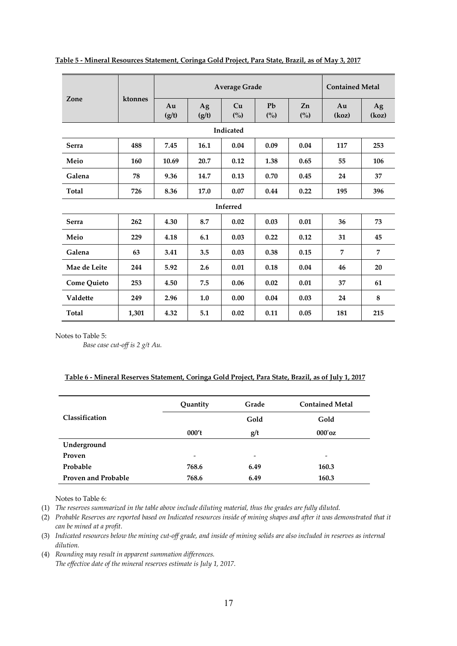|                    |         | <b>Average Grade</b> |             |           |           |                      | <b>Contained Metal</b> |             |
|--------------------|---------|----------------------|-------------|-----------|-----------|----------------------|------------------------|-------------|
| Zone               | ktonnes | Au<br>(g/t)          | Ag<br>(g/t) | Cu<br>(%) | Pb<br>(%) | Zn<br>$\binom{0}{0}$ | Au<br>(koz)            | Ag<br>(koz) |
|                    |         |                      |             | Indicated |           |                      |                        |             |
| <b>Serra</b>       | 488     | 7.45                 | 16.1        | 0.04      | 0.09      | 0.04                 | 117                    | 253         |
| Meio               | 160     | 10.69                | 20.7        | 0.12      | 1.38      | 0.65                 | 55                     | 106         |
| Galena             | 78      | 9.36                 | 14.7        | 0.13      | 0.70      | 0.45                 | 24                     | 37          |
| Total              | 726     | 8.36                 | 17.0        | 0.07      | 0.44      | 0.22                 | 195                    | 396         |
|                    |         |                      |             | Inferred  |           |                      |                        |             |
| <b>Serra</b>       | 262     | 4.30                 | 8.7         | 0.02      | 0.03      | 0.01                 | 36                     | 73          |
| Meio               | 229     | 4.18                 | 6.1         | 0.03      | 0.22      | 0.12                 | 31                     | 45          |
| Galena             | 63      | 3.41                 | 3.5         | 0.03      | 0.38      | 0.15                 | 7                      | 7           |
| Mae de Leite       | 244     | 5.92                 | 2.6         | 0.01      | 0.18      | 0.04                 | 46                     | 20          |
| <b>Come Quieto</b> | 253     | 4.50                 | 7.5         | 0.06      | 0.02      | 0.01                 | 37                     | 61          |
| <b>Valdette</b>    | 249     | 2.96                 | 1.0         | 0.00      | 0.04      | 0.03                 | 24                     | 8           |
| Total              | 1,301   | 4.32                 | 5.1         | 0.02      | 0.11      | 0.05                 | 181                    | 215         |

# **Table 5 - Mineral Resources Statement, Coringa Gold Project, Para State, Brazil, as of May 3, 2017**

Notes to Table 5:

*Base case cut-off is 2 g/t Au.* 

# **Table 6 - Mineral Reserves Statement, Coringa Gold Project, Para State, Brazil, as of July 1, 2017**

|                            | Quantity                 | Grade                    | <b>Contained Metal</b> |  |
|----------------------------|--------------------------|--------------------------|------------------------|--|
| Classification             |                          | Gold                     | Gold                   |  |
|                            | 000't                    | g/t                      | $000'$ oz              |  |
| Underground                |                          |                          |                        |  |
| Proven                     | $\overline{\phantom{a}}$ | $\overline{\phantom{0}}$ | -                      |  |
| Probable                   | 768.6                    | 6.49                     | 160.3                  |  |
| <b>Proven and Probable</b> | 768.6                    | 6.49                     | 160.3                  |  |

Notes to Table 6:

(1) *The reserves summarized in the table above include diluting material, thus the grades are fully diluted.* 

- (2) *Probable Reserves are reported based on Indicated resources inside of mining shapes and after it was demonstrated that it can be mined at a profit.*
- (3) *Indicated resources below the mining cut-off grade, and inside of mining solids are also included in reserves as internal dilution.*
- (4) *Rounding may result in apparent summation differences. The effective date of the mineral reserves estimate is July 1, 2017.*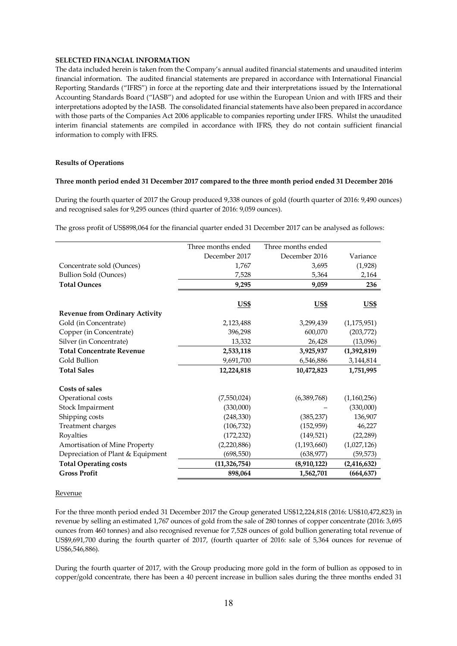# **SELECTED FINANCIAL INFORMATION**

The data included herein is taken from the Company's annual audited financial statements and unaudited interim financial information. The audited financial statements are prepared in accordance with International Financial Reporting Standards ("IFRS") in force at the reporting date and their interpretations issued by the International Accounting Standards Board ("IASB") and adopted for use within the European Union and with IFRS and their interpretations adopted by the IASB. The consolidated financial statements have also been prepared in accordance with those parts of the Companies Act 2006 applicable to companies reporting under IFRS. Whilst the unaudited interim financial statements are compiled in accordance with IFRS, they do not contain sufficient financial information to comply with IFRS.

# **Results of Operations**

# **Three month period ended 31 December 2017 compared to the three month period ended 31 December 2016**

During the fourth quarter of 2017 the Group produced 9,338 ounces of gold (fourth quarter of 2016: 9,490 ounces) and recognised sales for 9,295 ounces (third quarter of 2016: 9,059 ounces).

The gross profit of US\$898,064 for the financial quarter ended 31 December 2017 can be analysed as follows:

|                                       | Three months ended | Three months ended |               |
|---------------------------------------|--------------------|--------------------|---------------|
|                                       | December 2017      | December 2016      | Variance      |
| Concentrate sold (Ounces)             | 1,767              | 3,695              | (1,928)       |
| <b>Bullion Sold (Ounces)</b>          | 7,528              | 5,364              | 2,164         |
| <b>Total Ounces</b>                   | 9,295              | 9,059              | 236           |
|                                       |                    |                    |               |
|                                       | <u>US\$</u>        | US <sub>5</sub>    | <b>US\$</b>   |
| <b>Revenue from Ordinary Activity</b> |                    |                    |               |
| Gold (in Concentrate)                 | 2,123,488          | 3,299,439          | (1, 175, 951) |
| Copper (in Concentrate)               | 396,298            | 600,070            | (203, 772)    |
| Silver (in Concentrate)               | 13,332             | 26,428             | (13,096)      |
| <b>Total Concentrate Revenue</b>      | 2,533,118          | 3,925,937          | (1,392,819)   |
| Gold Bullion                          | 9,691,700          | 6,546,886          | 3,144,814     |
| <b>Total Sales</b>                    | 12,224,818         | 10,472,823         | 1,751,995     |
| Costs of sales                        |                    |                    |               |
| Operational costs                     | (7,550,024)        | (6,389,768)        | (1,160,256)   |
| Stock Impairment                      | (330,000)          |                    | (330,000)     |
| Shipping costs                        | (248, 330)         | (385, 237)         | 136,907       |
| Treatment charges                     | (106, 732)         | (152, 959)         | 46,227        |
| Royalties                             | (172, 232)         | (149, 521)         | (22, 289)     |
| Amortisation of Mine Property         | (2,220,886)        | (1, 193, 660)      | (1,027,126)   |
| Depreciation of Plant & Equipment     | (698, 550)         | (638, 977)         | (59, 573)     |
| <b>Total Operating costs</b>          | (11, 326, 754)     | (8,910,122)        | (2, 416, 632) |
| <b>Gross Profit</b>                   | 898,064            | 1,562,701          | (664, 637)    |

#### Revenue

For the three month period ended 31 December 2017 the Group generated US\$12,224,818 (2016: US\$10,472,823) in revenue by selling an estimated 1,767 ounces of gold from the sale of 280 tonnes of copper concentrate (2016: 3,695 ounces from 460 tonnes) and also recognised revenue for 7,528 ounces of gold bullion generating total revenue of US\$9,691,700 during the fourth quarter of 2017, (fourth quarter of 2016: sale of 5,364 ounces for revenue of US\$6,546,886).

During the fourth quarter of 2017, with the Group producing more gold in the form of bullion as opposed to in copper/gold concentrate, there has been a 40 percent increase in bullion sales during the three months ended 31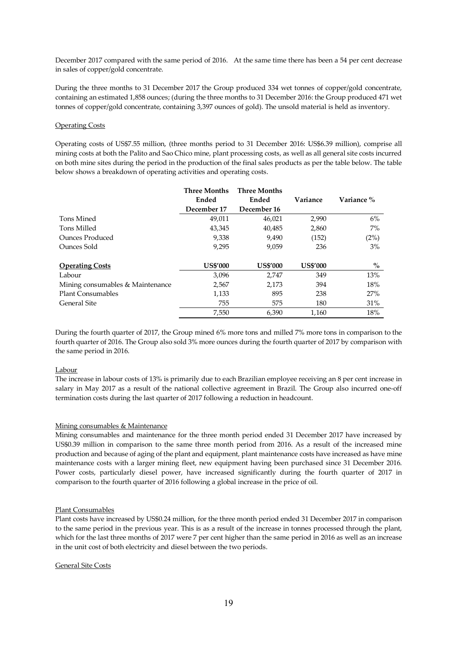December 2017 compared with the same period of 2016. At the same time there has been a 54 per cent decrease in sales of copper/gold concentrate.

During the three months to 31 December 2017 the Group produced 334 wet tonnes of copper/gold concentrate, containing an estimated 1,858 ounces; (during the three months to 31 December 2016: the Group produced 471 wet tonnes of copper/gold concentrate, containing 3,397 ounces of gold). The unsold material is held as inventory.

# Operating Costs

Operating costs of US\$7.55 million, (three months period to 31 December 2016: US\$6.39 million), comprise all mining costs at both the Palito and Sao Chico mine, plant processing costs, as well as all general site costs incurred on both mine sites during the period in the production of the final sales products as per the table below. The table below shows a breakdown of operating activities and operating costs.

|                                  | <b>Three Months</b> | <b>Three Months</b> |                 |            |
|----------------------------------|---------------------|---------------------|-----------------|------------|
|                                  | Ended               | Ended               | Variance        | Variance % |
|                                  | December 17         | December 16         |                 |            |
| Tons Mined                       | 49,011              | 46,021              | 2,990           | 6%         |
| Tons Milled                      | 43,345              | 40,485              | 2,860           | $7\%$      |
| Ounces Produced                  | 9,338               | 9,490               | (152)           | (2%)       |
| Ounces Sold                      | 9,295               | 9,059               | 236             | $3\%$      |
| <b>Operating Costs</b>           | <b>US\$'000</b>     | <b>US\$'000</b>     | <b>US\$'000</b> | $\%$       |
| Labour                           | 3,096               | 2,747               | 349             | 13%        |
| Mining consumables & Maintenance | 2,567               | 2,173               | 394             | 18%        |
| <b>Plant Consumables</b>         | 1,133               | 895                 | 238             | 27%        |
| General Site                     | 755                 | 575                 | 180             | 31%        |
|                                  | 7,550               | 6.390               | 1.160           | 18%        |

During the fourth quarter of 2017, the Group mined 6% more tons and milled 7% more tons in comparison to the fourth quarter of 2016. The Group also sold 3% more ounces during the fourth quarter of 2017 by comparison with the same period in 2016.

#### Labour

The increase in labour costs of 13% is primarily due to each Brazilian employee receiving an 8 per cent increase in salary in May 2017 as a result of the national collective agreement in Brazil. The Group also incurred one-off termination costs during the last quarter of 2017 following a reduction in headcount.

# Mining consumables & Maintenance

Mining consumables and maintenance for the three month period ended 31 December 2017 have increased by US\$0.39 million in comparison to the same three month period from 2016. As a result of the increased mine production and because of aging of the plant and equipment, plant maintenance costs have increased as have mine maintenance costs with a larger mining fleet, new equipment having been purchased since 31 December 2016. Power costs, particularly diesel power, have increased significantly during the fourth quarter of 2017 in comparison to the fourth quarter of 2016 following a global increase in the price of oil.

#### Plant Consumables

Plant costs have increased by US\$0.24 million, for the three month period ended 31 December 2017 in comparison to the same period in the previous year. This is as a result of the increase in tonnes processed through the plant, which for the last three months of 2017 were 7 per cent higher than the same period in 2016 as well as an increase in the unit cost of both electricity and diesel between the two periods.

#### General Site Costs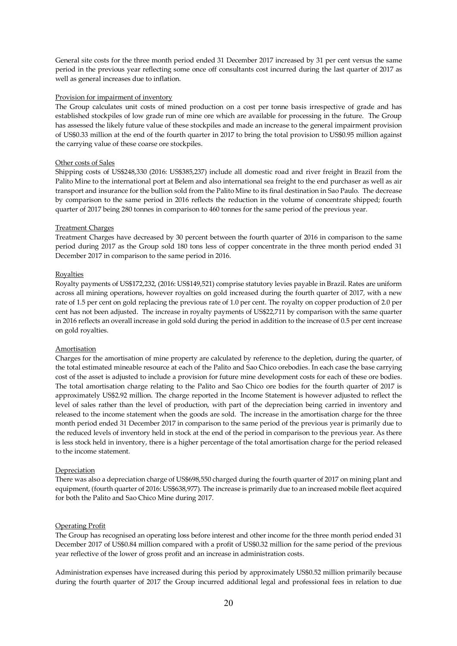General site costs for the three month period ended 31 December 2017 increased by 31 per cent versus the same period in the previous year reflecting some once off consultants cost incurred during the last quarter of 2017 as well as general increases due to inflation.

## Provision for impairment of inventory

The Group calculates unit costs of mined production on a cost per tonne basis irrespective of grade and has established stockpiles of low grade run of mine ore which are available for processing in the future. The Group has assessed the likely future value of these stockpiles and made an increase to the general impairment provision of US\$0.33 million at the end of the fourth quarter in 2017 to bring the total provision to US\$0.95 million against the carrying value of these coarse ore stockpiles.

# Other costs of Sales

Shipping costs of US\$248,330 (2016: US\$385,237) include all domestic road and river freight in Brazil from the Palito Mine to the international port at Belem and also international sea freight to the end purchaser as well as air transport and insurance for the bullion sold from the Palito Mine to its final destination in Sao Paulo. The decrease by comparison to the same period in 2016 reflects the reduction in the volume of concentrate shipped; fourth quarter of 2017 being 280 tonnes in comparison to 460 tonnes for the same period of the previous year.

# Treatment Charges

Treatment Charges have decreased by 30 percent between the fourth quarter of 2016 in comparison to the same period during 2017 as the Group sold 180 tons less of copper concentrate in the three month period ended 31 December 2017 in comparison to the same period in 2016.

# Royalties

Royalty payments of US\$172,232, (2016: US\$149,521) comprise statutory levies payable in Brazil. Rates are uniform across all mining operations, however royalties on gold increased during the fourth quarter of 2017, with a new rate of 1.5 per cent on gold replacing the previous rate of 1.0 per cent. The royalty on copper production of 2.0 per cent has not been adjusted. The increase in royalty payments of US\$22,711 by comparison with the same quarter in 2016 reflects an overall increase in gold sold during the period in addition to the increase of 0.5 per cent increase on gold royalties.

# Amortisation

Charges for the amortisation of mine property are calculated by reference to the depletion, during the quarter, of the total estimated mineable resource at each of the Palito and Sao Chico orebodies. In each case the base carrying cost of the asset is adjusted to include a provision for future mine development costs for each of these ore bodies. The total amortisation charge relating to the Palito and Sao Chico ore bodies for the fourth quarter of 2017 is approximately US\$2.92 million. The charge reported in the Income Statement is however adjusted to reflect the level of sales rather than the level of production, with part of the depreciation being carried in inventory and released to the income statement when the goods are sold. The increase in the amortisation charge for the three month period ended 31 December 2017 in comparison to the same period of the previous year is primarily due to the reduced levels of inventory held in stock at the end of the period in comparison to the previous year. As there is less stock held in inventory, there is a higher percentage of the total amortisation charge for the period released to the income statement.

#### Depreciation

There was also a depreciation charge of US\$698,550 charged during the fourth quarter of 2017 on mining plant and equipment, (fourth quarter of 2016: US\$638,977). The increase is primarily due to an increased mobile fleet acquired for both the Palito and Sao Chico Mine during 2017.

# Operating Profit

The Group has recognised an operating loss before interest and other income for the three month period ended 31 December 2017 of US\$0.84 million compared with a profit of US\$0.32 million for the same period of the previous year reflective of the lower of gross profit and an increase in administration costs.

Administration expenses have increased during this period by approximately US\$0.52 million primarily because during the fourth quarter of 2017 the Group incurred additional legal and professional fees in relation to due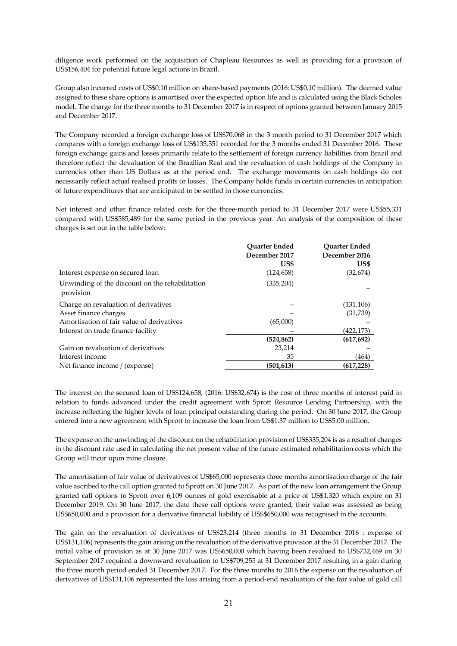diligence work performed on the acquisition of Chapleau Resources as well as providing for a provision of US\$156,404 for potential future legal actions in Brazil.

Group also incurred costs of US\$0.10 million on share-based payments (2016: US\$0.10 million). The deemed value assigned to these share options is amortised over the expected option life and is calculated using the Black Scholes model. The charge for the three months to 31 December 2017 is in respect of options granted between January 2015 and December 2017.

The Company recorded a foreign exchange loss of US\$70,068 in the 3 month period to 31 December 2017 which compares with a foreign exchange loss of US\$135,351 recorded for the 3 months ended 31 December 2016. These foreign exchange gains and losses primarily relate to the settlement of foreign currency liabilities from Brazil and therefore reflect the devaluation of the Brazilian Real and the revaluation of cash holdings of the Company in currencies other than US Dollars as at the period end. The exchange movements on cash holdings do not necessarily reflect actual realised profits or losses. The Company holds funds in certain currencies in anticipation of future expenditures that are anticipated to be settled in those currencies.

Net interest and other finance related costs for the three-month period to 31 December 2017 were US\$55,331 compared with US\$585,489 for the same period in the previous year. An analysis of the composition of these charges is set out in the table below:

|                                                              | <b>Ouarter Ended</b><br>December 2017<br>US\$ | <b>Ouarter Ended</b><br>December 2016<br>US\$ |
|--------------------------------------------------------------|-----------------------------------------------|-----------------------------------------------|
| Interest expense on secured loan                             | (124, 658)                                    | (32, 674)                                     |
| Unwinding of the discount on the rehabilitation<br>provision | (335, 204)                                    |                                               |
| Charge on revaluation of derivatives                         |                                               | (131, 106)                                    |
| Asset finance charges                                        |                                               | (31,739)                                      |
| Amortisation of fair value of derivatives                    | (65,000)                                      |                                               |
| Interest on trade finance facility                           |                                               | (422,173)                                     |
|                                                              | (524, 862)                                    | (617, 692)                                    |
| Gain on revaluation of derivatives                           | 23,214                                        |                                               |
| Interest income                                              | 35                                            | (464)                                         |
| Net finance income / (expense)                               | (501, 613)                                    | (617, 228)                                    |

The interest on the secured loan of US\$124,658, (2016: US\$32,674) is the cost of three months of interest paid in relation to funds advanced under the credit agreement with Sprott Resource Lending Partnership, with the increase reflecting the higher levels of loan principal outstanding during the period. On 30 June 2017, the Group entered into a new agreement with Sprott to increase the loan from US\$1.37 million to US\$5.00 million.

The expense on the unwinding of the discount on the rehabilitation provision of US\$335,204 is as a result of changes in the discount rate used in calculating the net present value of the future estimated rehabilitation costs which the Group will incur upon mine closure.

The amortisation of fair value of derivatives of US\$65,000 represents three months amortisation charge of the fair value ascribed to the call option granted to Sprott on 30 June 2017. As part of the new loan arrangement the Group granted call options to Sprott over 6,109 ounces of gold exercisable at a price of US\$1,320 which expire on 31 December 2019. On 30 June 2017, the date these call options were granted, their value was assessed as being US\$650,000 and a provision for a derivative financial liability of US\$\$650,000 was recognised in the accounts.

The gain on the revaluation of derivatives of US\$23,214 (three months to 31 December 2016 : expense of US\$131,106) represents the gain arising on the revaluation of the derivative provision at the 31 December 2017. The initial value of provision as at 30 June 2017 was US\$650,000 which having been revalued to US\$732,469 on 30 September 2017 required a downward revaluation to US\$709,255 at 31 December 2017 resulting in a gain during the three month period ended 31 December 2017. For the three months to 2016 the expense on the revaluation of derivatives of US\$131,106 represented the loss arising from a period-end revaluation of the fair value of gold call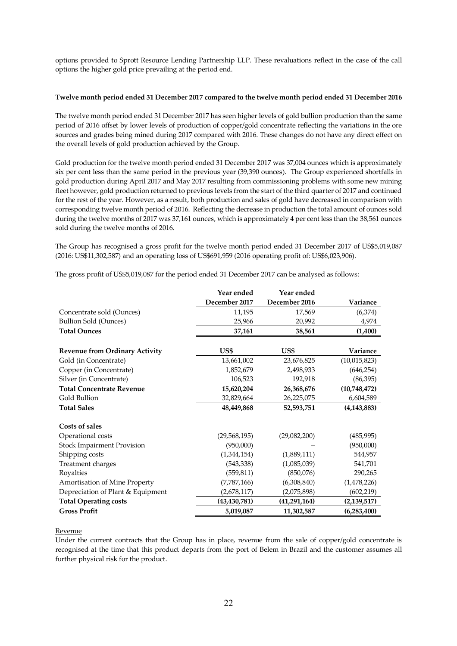options provided to Sprott Resource Lending Partnership LLP. These revaluations reflect in the case of the call options the higher gold price prevailing at the period end.

## **Twelve month period ended 31 December 2017 compared to the twelve month period ended 31 December 2016**

The twelve month period ended 31 December 2017 has seen higher levels of gold bullion production than the same period of 2016 offset by lower levels of production of copper/gold concentrate reflecting the variations in the ore sources and grades being mined during 2017 compared with 2016. These changes do not have any direct effect on the overall levels of gold production achieved by the Group.

Gold production for the twelve month period ended 31 December 2017 was 37,004 ounces which is approximately six per cent less than the same period in the previous year (39,390 ounces). The Group experienced shortfalls in gold production during April 2017 and May 2017 resulting from commissioning problems with some new mining fleet however, gold production returned to previous levels from the start of the third quarter of 2017 and continued for the rest of the year. However, as a result, both production and sales of gold have decreased in comparison with corresponding twelve month period of 2016. Reflecting the decrease in production the total amount of ounces sold during the twelve months of 2017 was 37,161 ounces, which is approximately 4 per cent less than the 38,561 ounces sold during the twelve months of 2016.

The Group has recognised a gross profit for the twelve month period ended 31 December 2017 of US\$5,019,087 (2016: US\$11,302,587) and an operating loss of US\$691,959 (2016 operating profit of: US\$6,023,906).

The gross profit of US\$5,019,087 for the period ended 31 December 2017 can be analysed as follows:

|                                       | Year ended     | Year ended     |                |
|---------------------------------------|----------------|----------------|----------------|
|                                       | December 2017  | December 2016  | Variance       |
| Concentrate sold (Ounces)             | 11,195         | 17,569         | (6,374)        |
| <b>Bullion Sold (Ounces)</b>          | 25,966         | 20,992         | 4,974          |
| <b>Total Ounces</b>                   | 37,161         | 38,561         | (1,400)        |
| <b>Revenue from Ordinary Activity</b> | US\$           | US\$           | Variance       |
| Gold (in Concentrate)                 | 13,661,002     | 23,676,825     | (10, 015, 823) |
| Copper (in Concentrate)               | 1,852,679      | 2,498,933      | (646, 254)     |
| Silver (in Concentrate)               | 106,523        | 192,918        | (86, 395)      |
| <b>Total Concentrate Revenue</b>      | 15,620,204     | 26,368,676     | (10,748,472)   |
| Gold Bullion                          | 32,829,664     | 26,225,075     | 6,604,589      |
| <b>Total Sales</b>                    | 48,449,868     | 52,593,751     | (4, 143, 883)  |
| Costs of sales                        |                |                |                |
| Operational costs                     | (29, 568, 195) | (29,082,200)   | (485, 995)     |
| <b>Stock Impairment Provision</b>     | (950,000)      |                | (950,000)      |
| Shipping costs                        | (1,344,154)    | (1,889,111)    | 544,957        |
| Treatment charges                     | (543, 338)     | (1,085,039)    | 541,701        |
| Royalties                             | (559, 811)     | (850,076)      | 290,265        |
| Amortisation of Mine Property         | (7,787,166)    | (6,308,840)    | (1,478,226)    |
| Depreciation of Plant & Equipment     | (2,678,117)    | (2,075,898)    | (602, 219)     |
| <b>Total Operating costs</b>          | (43, 430, 781) | (41, 291, 164) | (2, 139, 517)  |
| <b>Gross Profit</b>                   | 5,019,087      | 11,302,587     | (6,283,400)    |

#### Revenue

Under the current contracts that the Group has in place, revenue from the sale of copper/gold concentrate is recognised at the time that this product departs from the port of Belem in Brazil and the customer assumes all further physical risk for the product.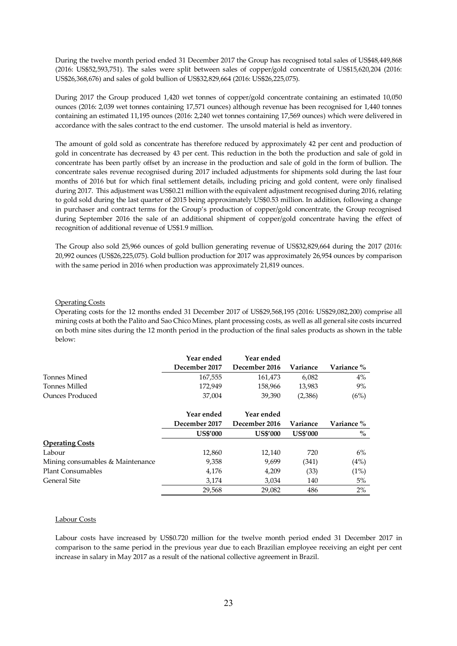During the twelve month period ended 31 December 2017 the Group has recognised total sales of US\$48,449,868 (2016: US\$52,593,751). The sales were split between sales of copper/gold concentrate of US\$15,620,204 (2016: US\$26,368,676) and sales of gold bullion of US\$32,829,664 (2016: US\$26,225,075).

During 2017 the Group produced 1,420 wet tonnes of copper/gold concentrate containing an estimated 10,050 ounces (2016: 2,039 wet tonnes containing 17,571 ounces) although revenue has been recognised for 1,440 tonnes containing an estimated 11,195 ounces (2016: 2,240 wet tonnes containing 17,569 ounces) which were delivered in accordance with the sales contract to the end customer. The unsold material is held as inventory.

The amount of gold sold as concentrate has therefore reduced by approximately 42 per cent and production of gold in concentrate has decreased by 43 per cent. This reduction in the both the production and sale of gold in concentrate has been partly offset by an increase in the production and sale of gold in the form of bullion. The concentrate sales revenue recognised during 2017 included adjustments for shipments sold during the last four months of 2016 but for which final settlement details, including pricing and gold content, were only finalised during 2017. This adjustment was US\$0.21 million with the equivalent adjustment recognised during 2016, relating to gold sold during the last quarter of 2015 being approximately US\$0.53 million. In addition, following a change in purchaser and contract terms for the Group's production of copper/gold concentrate, the Group recognised during September 2016 the sale of an additional shipment of copper/gold concentrate having the effect of recognition of additional revenue of US\$1.9 million.

The Group also sold 25,966 ounces of gold bullion generating revenue of US\$32,829,664 during the 2017 (2016: 20,992 ounces (US\$26,225,075). Gold bullion production for 2017 was approximately 26,954 ounces by comparison with the same period in 2016 when production was approximately 21,819 ounces.

#### Operating Costs

Operating costs for the 12 months ended 31 December 2017 of US\$29,568,195 (2016: US\$29,082,200) comprise all mining costs at both the Palito and Sao Chico Mines, plant processing costs, as well as all general site costs incurred on both mine sites during the 12 month period in the production of the final sales products as shown in the table below:

|                                  | Year ended      | Year ended      |                 |            |
|----------------------------------|-----------------|-----------------|-----------------|------------|
|                                  | December 2017   | December 2016   | Variance        | Variance % |
| Tonnes Mined                     | 167,555         | 161,473         | 6,082           | 4%         |
| Tonnes Milled                    | 172,949         | 158,966         | 13,983          | 9%         |
| <b>Ounces Produced</b>           | 37,004          | 39,390          | (2,386)         | (6%)       |
|                                  | Year ended      | Year ended      |                 |            |
|                                  | December 2017   | December 2016   | Variance        | Variance % |
|                                  | <b>US\$'000</b> | <b>US\$'000</b> | <b>US\$'000</b> | $\%$       |
| <b>Operating Costs</b>           |                 |                 |                 |            |
| Labour                           | 12,860          | 12,140          | 720             | 6%         |
| Mining consumables & Maintenance | 9,358           | 9,699           | (341)           | (4%)       |
| <b>Plant Consumables</b>         | 4,176           | 4,209           | (33)            | (1%)       |
| General Site                     | 3,174           | 3,034           | 140             | 5%         |
|                                  | 29,568          | 29,082          | 486             | 2%         |

# Labour Costs

Labour costs have increased by US\$0.720 million for the twelve month period ended 31 December 2017 in comparison to the same period in the previous year due to each Brazilian employee receiving an eight per cent increase in salary in May 2017 as a result of the national collective agreement in Brazil.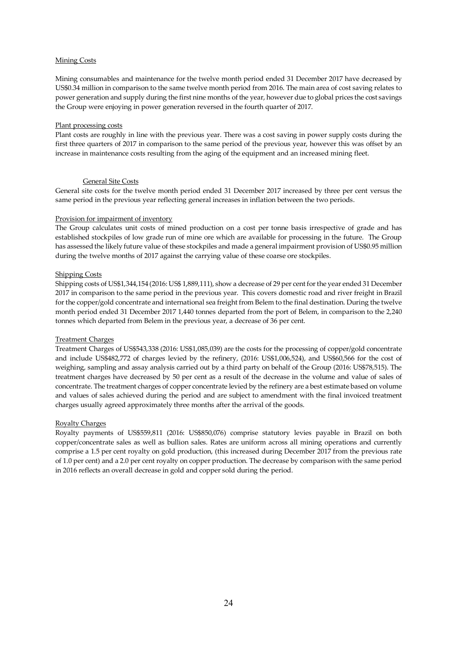# Mining Costs

Mining consumables and maintenance for the twelve month period ended 31 December 2017 have decreased by US\$0.34 million in comparison to the same twelve month period from 2016. The main area of cost saving relates to power generation and supply during the first nine months of the year, however due to global prices the cost savings the Group were enjoying in power generation reversed in the fourth quarter of 2017.

## Plant processing costs

Plant costs are roughly in line with the previous year. There was a cost saving in power supply costs during the first three quarters of 2017 in comparison to the same period of the previous year, however this was offset by an increase in maintenance costs resulting from the aging of the equipment and an increased mining fleet.

# General Site Costs

General site costs for the twelve month period ended 31 December 2017 increased by three per cent versus the same period in the previous year reflecting general increases in inflation between the two periods.

# Provision for impairment of inventory

The Group calculates unit costs of mined production on a cost per tonne basis irrespective of grade and has established stockpiles of low grade run of mine ore which are available for processing in the future. The Group has assessed the likely future value of these stockpiles and made a general impairment provision of US\$0.95 million during the twelve months of 2017 against the carrying value of these coarse ore stockpiles.

# Shipping Costs

Shipping costs of US\$1,344,154 (2016: US\$ 1,889,111), show a decrease of 29 per cent for the year ended 31 December 2017 in comparison to the same period in the previous year. This covers domestic road and river freight in Brazil for the copper/gold concentrate and international sea freight from Belem to the final destination. During the twelve month period ended 31 December 2017 1,440 tonnes departed from the port of Belem, in comparison to the 2,240 tonnes which departed from Belem in the previous year, a decrease of 36 per cent.

# Treatment Charges

Treatment Charges of US\$543,338 (2016: US\$1,085,039) are the costs for the processing of copper/gold concentrate and include US\$482,772 of charges levied by the refinery, (2016: US\$1,006,524), and US\$60,566 for the cost of weighing, sampling and assay analysis carried out by a third party on behalf of the Group (2016: US\$78,515). The treatment charges have decreased by 50 per cent as a result of the decrease in the volume and value of sales of concentrate. The treatment charges of copper concentrate levied by the refinery are a best estimate based on volume and values of sales achieved during the period and are subject to amendment with the final invoiced treatment charges usually agreed approximately three months after the arrival of the goods.

#### Royalty Charges

Royalty payments of US\$559,811 (2016: US\$850,076) comprise statutory levies payable in Brazil on both copper/concentrate sales as well as bullion sales. Rates are uniform across all mining operations and currently comprise a 1.5 per cent royalty on gold production, (this increased during December 2017 from the previous rate of 1.0 per cent) and a 2.0 per cent royalty on copper production. The decrease by comparison with the same period in 2016 reflects an overall decrease in gold and copper sold during the period.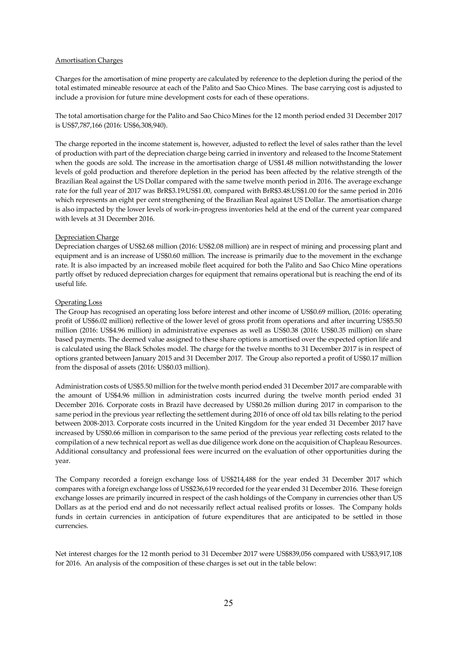# Amortisation Charges

Charges for the amortisation of mine property are calculated by reference to the depletion during the period of the total estimated mineable resource at each of the Palito and Sao Chico Mines. The base carrying cost is adjusted to include a provision for future mine development costs for each of these operations.

The total amortisation charge for the Palito and Sao Chico Mines for the 12 month period ended 31 December 2017 is US\$7,787,166 (2016: US\$6,308,940).

The charge reported in the income statement is, however, adjusted to reflect the level of sales rather than the level of production with part of the depreciation charge being carried in inventory and released to the Income Statement when the goods are sold. The increase in the amortisation charge of US\$1.48 million notwithstanding the lower levels of gold production and therefore depletion in the period has been affected by the relative strength of the Brazilian Real against the US Dollar compared with the same twelve month period in 2016. The average exchange rate for the full year of 2017 was BrR\$3.19:US\$1.00, compared with BrR\$3.48:US\$1.00 for the same period in 2016 which represents an eight per cent strengthening of the Brazilian Real against US Dollar. The amortisation charge is also impacted by the lower levels of work-in-progress inventories held at the end of the current year compared with levels at 31 December 2016.

# Depreciation Charge

Depreciation charges of US\$2.68 million (2016: US\$2.08 million) are in respect of mining and processing plant and equipment and is an increase of US\$0.60 million. The increase is primarily due to the movement in the exchange rate. It is also impacted by an increased mobile fleet acquired for both the Palito and Sao Chico Mine operations partly offset by reduced depreciation charges for equipment that remains operational but is reaching the end of its useful life.

# Operating Loss

The Group has recognised an operating loss before interest and other income of US\$0.69 million, (2016: operating profit of US\$6.02 million) reflective of the lower level of gross profit from operations and after incurring US\$5.50 million (2016: US\$4.96 million) in administrative expenses as well as US\$0.38 (2016: US\$0.35 million) on share based payments. The deemed value assigned to these share options is amortised over the expected option life and is calculated using the Black Scholes model. The charge for the twelve months to 31 December 2017 is in respect of options granted between January 2015 and 31 December 2017. The Group also reported a profit of US\$0.17 million from the disposal of assets (2016: US\$0.03 million).

Administration costs of US\$5.50 million for the twelve month period ended 31 December 2017 are comparable with the amount of US\$4.96 million in administration costs incurred during the twelve month period ended 31 December 2016. Corporate costs in Brazil have decreased by US\$0.26 million during 2017 in comparison to the same period in the previous year reflecting the settlement during 2016 of once off old tax bills relating to the period between 2008-2013. Corporate costs incurred in the United Kingdom for the year ended 31 December 2017 have increased by US\$0.66 million in comparison to the same period of the previous year reflecting costs related to the compilation of a new technical report as well as due diligence work done on the acquisition of Chapleau Resources. Additional consultancy and professional fees were incurred on the evaluation of other opportunities during the year.

The Company recorded a foreign exchange loss of US\$214,488 for the year ended 31 December 2017 which compares with a foreign exchange loss of US\$236,619 recorded for the year ended 31 December 2016. These foreign exchange losses are primarily incurred in respect of the cash holdings of the Company in currencies other than US Dollars as at the period end and do not necessarily reflect actual realised profits or losses. The Company holds funds in certain currencies in anticipation of future expenditures that are anticipated to be settled in those currencies.

Net interest charges for the 12 month period to 31 December 2017 were US\$839,056 compared with US\$3,917,108 for 2016. An analysis of the composition of these charges is set out in the table below: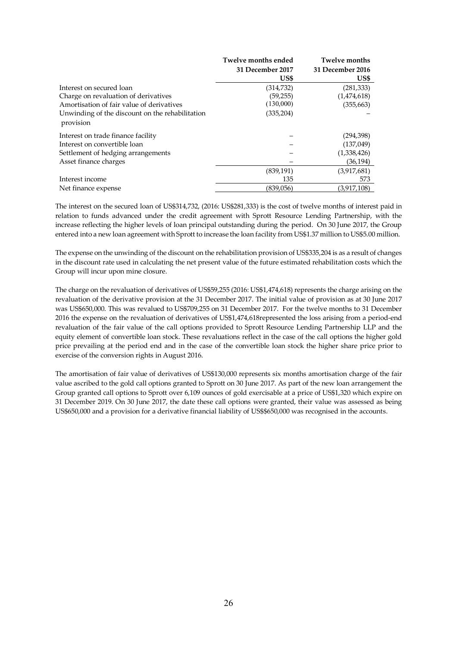|                                                              | Twelve months ended | Twelve months    |
|--------------------------------------------------------------|---------------------|------------------|
|                                                              | 31 December 2017    | 31 December 2016 |
|                                                              | US\$                | US\$             |
| Interest on secured loan                                     | (314,732)           | (281, 333)       |
| Charge on revaluation of derivatives                         | (59, 255)           | (1,474,618)      |
| Amortisation of fair value of derivatives                    | (130,000)           | (355, 663)       |
| Unwinding of the discount on the rehabilitation<br>provision | (335, 204)          |                  |
| Interest on trade finance facility                           |                     | (294,398)        |
| Interest on convertible loan                                 |                     | (137, 049)       |
| Settlement of hedging arrangements                           |                     | (1,338,426)      |
| Asset finance charges                                        |                     | (36, 194)        |
|                                                              | (839, 191)          | (3,917,681)      |
| Interest income                                              | 135                 | 573              |
| Net finance expense                                          | (839,056)           | (3,917,108)      |

The interest on the secured loan of US\$314,732, (2016: US\$281,333) is the cost of twelve months of interest paid in relation to funds advanced under the credit agreement with Sprott Resource Lending Partnership, with the increase reflecting the higher levels of loan principal outstanding during the period. On 30 June 2017, the Group entered into a new loan agreement with Sprott to increase the loan facility from US\$1.37 million to US\$5.00 million.

The expense on the unwinding of the discount on the rehabilitation provision of US\$335,204 is as a result of changes in the discount rate used in calculating the net present value of the future estimated rehabilitation costs which the Group will incur upon mine closure.

The charge on the revaluation of derivatives of US\$59,255 (2016: US\$1,474,618) represents the charge arising on the revaluation of the derivative provision at the 31 December 2017. The initial value of provision as at 30 June 2017 was US\$650,000. This was revalued to US\$709,255 on 31 December 2017. For the twelve months to 31 December 2016 the expense on the revaluation of derivatives of US\$1,474,618represented the loss arising from a period-end revaluation of the fair value of the call options provided to Sprott Resource Lending Partnership LLP and the equity element of convertible loan stock. These revaluations reflect in the case of the call options the higher gold price prevailing at the period end and in the case of the convertible loan stock the higher share price prior to exercise of the conversion rights in August 2016.

The amortisation of fair value of derivatives of US\$130,000 represents six months amortisation charge of the fair value ascribed to the gold call options granted to Sprott on 30 June 2017. As part of the new loan arrangement the Group granted call options to Sprott over 6,109 ounces of gold exercisable at a price of US\$1,320 which expire on 31 December 2019. On 30 June 2017, the date these call options were granted, their value was assessed as being US\$650,000 and a provision for a derivative financial liability of US\$\$650,000 was recognised in the accounts.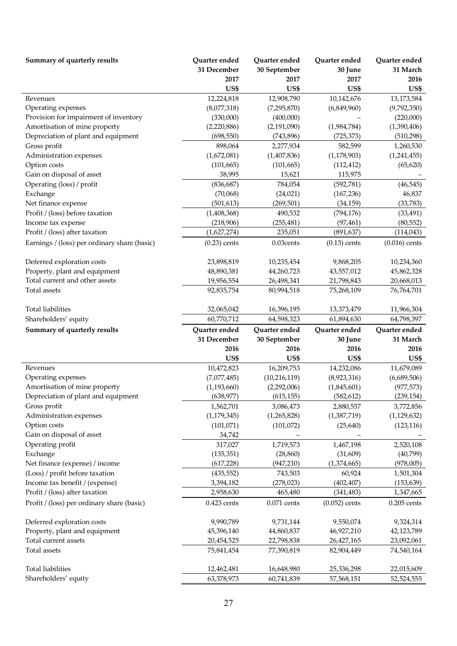| Summary of quarterly results                 | Quarter ended  | Quarter ended  | Quarter ended   | Quarter ended   |
|----------------------------------------------|----------------|----------------|-----------------|-----------------|
|                                              | 31 December    | 30 September   | 30 June         | 31 March        |
|                                              | 2017           | 2017           | 2017            | 2016            |
|                                              | US\$           | US\$           | US\$            | US\$            |
| Revenues                                     | 12,224,818     | 12,908,790     | 10,142,676      | 13,173,584      |
| Operating expenses                           | (8,077,318)    | (7, 295, 870)  | (6,849,960)     | (9,792,350)     |
| Provision for impairment of inventory        | (330,000)      | (400,000)      |                 | (220,000)       |
| Amortisation of mine property                | (2,220,886)    | (2, 191, 090)  | (1,984,784)     | (1,390,406)     |
| Depreciation of plant and equipment          | (698, 550)     | (743, 896)     | (725, 373)      | (510, 298)      |
| Gross profit                                 | 898,064        | 2,277,934      | 582,599         | 1,260,530       |
| Administration expenses                      | (1,672,081)    | (1,407,836)    | (1, 178, 903)   | (1,241,455)     |
| Option costs                                 | (101, 665)     | (101, 665)     | (112, 412)      | (65, 620)       |
| Gain on disposal of asset                    | 38,995         | 15,621         | 115,975         |                 |
| Operating (loss) / profit                    | (836, 687)     | 784,054        | (592,781)       | (46, 545)       |
| Exchange                                     | (70,068)       | (24, 021)      | (167, 236)      | 46,837          |
| Net finance expense                          | (501, 613)     | (269, 501)     | (34, 159)       | (33, 783)       |
| Profit / (loss) before taxation              | (1,408,368)    | 490,532        | (794, 176)      | (33, 491)       |
| Income tax expense                           | (218,906)      | (255, 481)     | (97, 461)       | (80, 552)       |
| Profit / (loss) after taxation               | (1,627,274)    | 235,051        | (891, 637)      | (114, 043)      |
| Earnings / (loss) per ordinary share (basic) | $(0.23)$ cents | 0.03cents      | $(0.13)$ cents  | $(0.016)$ cents |
| Deferred exploration costs                   | 23,898,819     | 10,235,454     | 9,868,205       | 10,234,360      |
| Property, plant and equipment                | 48,890,381     | 44,260,723     | 43,557,012      | 45,862,328      |
| Total current and other assets               | 19,956,554     | 26,498,341     | 21,798,843      | 20,668,013      |
| Total assets                                 | 92,835,754     | 80,994,518     | 75,268,109      | 76,764,701      |
|                                              |                |                |                 |                 |
| <b>Total liabilities</b>                     | 32,065,042     | 16,396,195     | 13,373,479      | 11,966,304      |
| Shareholders' equity                         | 60,770,712     | 64,598,323     | 61,894,630      | 64,798,397      |
|                                              |                |                |                 |                 |
| Summary of quarterly results                 | Quarter ended  | Quarter ended  | Quarter ended   | Quarter ended   |
|                                              | 31 December    | 30 September   | 30 June         | 31 March        |
|                                              | 2016           | 2016           | 2016            | 2016            |
|                                              | US\$           | US\$           | US\$            | US\$            |
| Revenues                                     | 10,472,823     | 16,209,753     | 14,232,086      | 11,679,089      |
| Operating expenses                           | (7,077,485)    | (10, 216, 119) | (8,923,316)     | (6,689,506)     |
| Amortisation of mine property                | (1, 193, 660)  | (2,292,006)    | (1,845,601)     | (977, 573)      |
| Depreciation of plant and equipment          | (638, 977)     | (615, 155)     | (582, 612)      | (239, 154)      |
| Gross profit                                 | 1,562,701      | 3,086,473      | 2,880,557       | 3,772,856       |
| Administration expenses                      | (1, 179, 345)  | (1,265,828)    | (1,387,719)     | (1, 129, 632)   |
| Option costs                                 | (101, 071)     | (101, 072)     | (25, 640)       | (123, 116)      |
| Gain on disposal of asset                    | 34,742         |                |                 |                 |
| Operating profit                             | 317,027        | 1,719,573      | 1,467,198       | 2,520,108       |
| Exchange                                     | (135, 351)     | (28, 860)      | (31,609)        | (40,799)        |
| Net finance (expense) / income               | (617, 228)     | (947, 210)     | (1,374,665)     | (978,005)       |
| (Loss) / profit before taxation              | (435, 552)     | 743,503        | 60,924          | 1,501,304       |
| Income tax benefit / (expense)               | 3,394,182      | (278, 023)     | (402, 407)      | (153, 639)      |
| Profit / (loss) after taxation               | 2,958,630      | 465,480        | (341, 483)      | 1,347,665       |
| Profit / (loss) per ordinary share (basic)   | $0.423$ cents  | $0.071$ cents  | $(0.052)$ cents | $0.205$ cents   |
| Deferred exploration costs                   | 9,990,789      | 9,731,144      | 9,550,074       | 9,324,314       |
| Property, plant and equipment                | 45,396,140     | 44,860,837     | 46,927,210      | 42,123,789      |
| Total current assets                         | 20,454,525     | 22,798,838     | 26,427,165      | 23,092,061      |
| Total assets                                 | 75,841,454     | 77,390,819     | 82,904,449      | 74,540,164      |
| <b>Total liabilities</b>                     | 12,462,481     | 16,648,980     | 25,336,298      | 22,015,609      |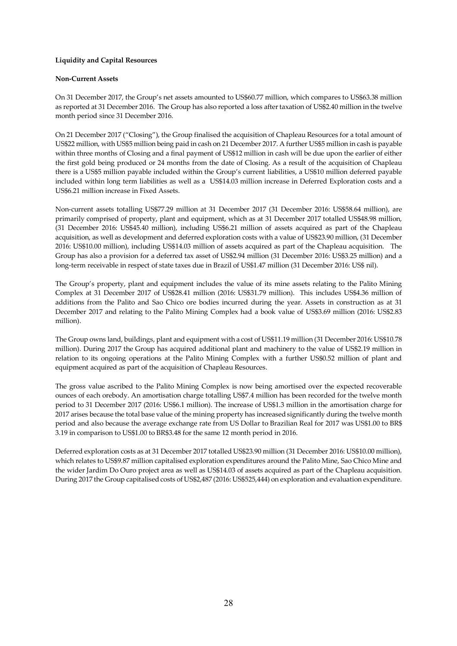# **Liquidity and Capital Resources**

### **Non-Current Assets**

On 31 December 2017, the Group's net assets amounted to US\$60.77 million, which compares to US\$63.38 million as reported at 31 December 2016. The Group has also reported a loss after taxation of US\$2.40 million in the twelve month period since 31 December 2016.

On 21 December 2017 ("Closing"), the Group finalised the acquisition of Chapleau Resources for a total amount of US\$22 million, with US\$5 million being paid in cash on 21 December 2017. A further US\$5 million in cash is payable within three months of Closing and a final payment of US\$12 million in cash will be due upon the earlier of either the first gold being produced or 24 months from the date of Closing. As a result of the acquisition of Chapleau there is a US\$5 million payable included within the Group's current liabilities, a US\$10 million deferred payable included within long term liabilities as well as a US\$14.03 million increase in Deferred Exploration costs and a US\$6.21 million increase in Fixed Assets.

Non-current assets totalling US\$77.29 million at 31 December 2017 (31 December 2016: US\$58.64 million), are primarily comprised of property, plant and equipment, which as at 31 December 2017 totalled US\$48.98 million, (31 December 2016: US\$45.40 million), including US\$6.21 million of assets acquired as part of the Chapleau acquisition, as well as development and deferred exploration costs with a value of US\$23.90 million, (31 December 2016: US\$10.00 million), including US\$14.03 million of assets acquired as part of the Chapleau acquisition. The Group has also a provision for a deferred tax asset of US\$2.94 million (31 December 2016: US\$3.25 million) and a long-term receivable in respect of state taxes due in Brazil of US\$1.47 million (31 December 2016: US\$ nil).

The Group's property, plant and equipment includes the value of its mine assets relating to the Palito Mining Complex at 31 December 2017 of US\$28.41 million (2016: US\$31.79 million). This includes US\$4.36 million of additions from the Palito and Sao Chico ore bodies incurred during the year. Assets in construction as at 31 December 2017 and relating to the Palito Mining Complex had a book value of US\$3.69 million (2016: US\$2.83 million).

The Group owns land, buildings, plant and equipment with a cost of US\$11.19 million (31 December 2016: US\$10.78 million). During 2017 the Group has acquired additional plant and machinery to the value of US\$2.19 million in relation to its ongoing operations at the Palito Mining Complex with a further US\$0.52 million of plant and equipment acquired as part of the acquisition of Chapleau Resources.

The gross value ascribed to the Palito Mining Complex is now being amortised over the expected recoverable ounces of each orebody. An amortisation charge totalling US\$7.4 million has been recorded for the twelve month period to 31 December 2017 (2016: US\$6.1 million). The increase of US\$1.3 million in the amortisation charge for 2017 arises because the total base value of the mining property has increased significantly during the twelve month period and also because the average exchange rate from US Dollar to Brazilian Real for 2017 was US\$1.00 to BR\$ 3.19 in comparison to US\$1.00 to BR\$3.48 for the same 12 month period in 2016.

Deferred exploration costs as at 31 December 2017 totalled US\$23.90 million (31 December 2016: US\$10.00 million), which relates to US\$9.87 million capitalised exploration expenditures around the Palito Mine, Sao Chico Mine and the wider Jardim Do Ouro project area as well as US\$14.03 of assets acquired as part of the Chapleau acquisition. During 2017 the Group capitalised costs of US\$2,487 (2016: US\$525,444) on exploration and evaluation expenditure.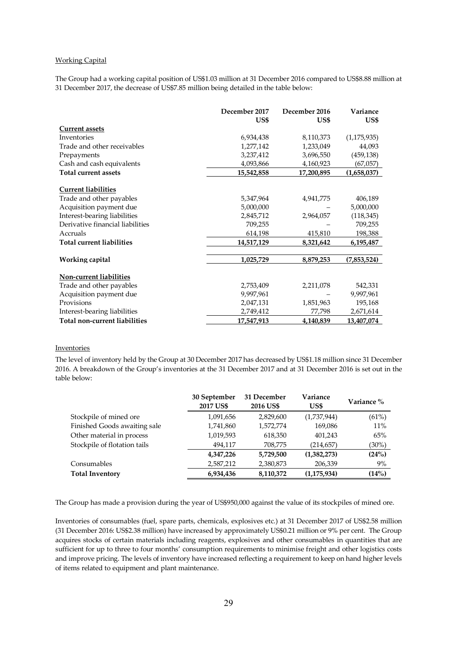# Working Capital

The Group had a working capital position of US\$1.03 million at 31 December 2016 compared to US\$8.88 million at 31 December 2017, the decrease of US\$7.85 million being detailed in the table below:

|                                  | December 2017 | December 2016 | Variance      |
|----------------------------------|---------------|---------------|---------------|
|                                  | US\$          | US\$          | US\$          |
| <b>Current assets</b>            |               |               |               |
| Inventories                      | 6,934,438     | 8,110,373     | (1, 175, 935) |
| Trade and other receivables      | 1,277,142     | 1,233,049     | 44,093        |
| Prepayments                      | 3,237,412     | 3,696,550     | (459, 138)    |
| Cash and cash equivalents        | 4,093,866     | 4,160,923     | (67,057)      |
| <b>Total current assets</b>      | 15,542,858    | 17,200,895    | (1,658,037)   |
| <b>Current liabilities</b>       |               |               |               |
| Trade and other payables         | 5,347,964     | 4,941,775     | 406,189       |
| Acquisition payment due          | 5,000,000     |               | 5,000,000     |
| Interest-bearing liabilities     | 2,845,712     | 2,964,057     | (118, 345)    |
| Derivative financial liabilities | 709,255       |               | 709,255       |
| Accruals                         | 614,198       | 415,810       | 198,388       |
| <b>Total current liabilities</b> | 14,517,129    | 8,321,642     | 6,195,487     |
| Working capital                  | 1,025,729     | 8,879,253     | (7,853,524)   |
| <b>Non-current liabilities</b>   |               |               |               |
| Trade and other payables         | 2,753,409     | 2,211,078     | 542,331       |
|                                  |               |               |               |
| Acquisition payment due          | 9,997,961     |               | 9,997,961     |
| Provisions                       | 2,047,131     | 1,851,963     | 195,168       |
| Interest-bearing liabilities     | 2,749,412     | 77,798        | 2,671,614     |
| Total non-current liabilities    | 17,547,913    | 4,140,839     | 13,407,074    |

#### **Inventories**

The level of inventory held by the Group at 30 December 2017 has decreased by US\$1.18 million since 31 December 2016. A breakdown of the Group's inventories at the 31 December 2017 and at 31 December 2016 is set out in the table below:

|                              | 30 September<br>2017 US\$ | 31 December<br>2016 US\$ | Variance<br>US\$ | Variance % |
|------------------------------|---------------------------|--------------------------|------------------|------------|
| Stockpile of mined ore       | 1,091,656                 | 2,829,600                | (1,737,944)      | (61%)      |
| Finished Goods awaiting sale | 1,741,860                 | 1,572,774                | 169,086          | 11%        |
| Other material in process    | 1,019,593                 | 618,350                  | 401,243          | 65%        |
| Stockpile of flotation tails | 494,117                   | 708,775                  | (214, 657)       | $(30\%)$   |
|                              | 4,347,226                 | 5,729,500                | (1,382,273)      | (24%)      |
| Consumables                  | 2,587,212                 | 2,380,873                | 206,339          | 9%         |
| <b>Total Inventory</b>       | 6,934,436                 | 8,110,372                | (1, 175, 934)    | (14%)      |

The Group has made a provision during the year of US\$950,000 against the value of its stockpiles of mined ore.

Inventories of consumables (fuel, spare parts, chemicals, explosives etc.) at 31 December 2017 of US\$2.58 million (31 December 2016: US\$2.38 million) have increased by approximately US\$0.21 million or 9% per cent. The Group acquires stocks of certain materials including reagents, explosives and other consumables in quantities that are sufficient for up to three to four months' consumption requirements to minimise freight and other logistics costs and improve pricing. The levels of inventory have increased reflecting a requirement to keep on hand higher levels of items related to equipment and plant maintenance.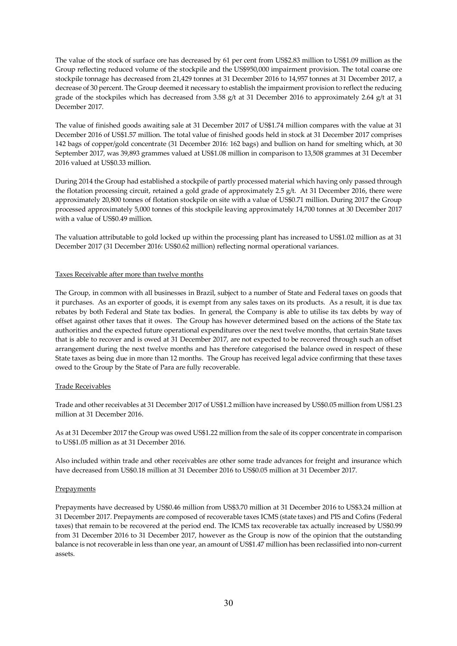The value of the stock of surface ore has decreased by 61 per cent from US\$2.83 million to US\$1.09 million as the Group reflecting reduced volume of the stockpile and the US\$950,000 impairment provision. The total coarse ore stockpile tonnage has decreased from 21,429 tonnes at 31 December 2016 to 14,957 tonnes at 31 December 2017, a decrease of 30 percent. The Group deemed it necessary to establish the impairment provision to reflect the reducing grade of the stockpiles which has decreased from 3.58 g/t at 31 December 2016 to approximately 2.64 g/t at 31 December 2017.

The value of finished goods awaiting sale at 31 December 2017 of US\$1.74 million compares with the value at 31 December 2016 of US\$1.57 million. The total value of finished goods held in stock at 31 December 2017 comprises 142 bags of copper/gold concentrate (31 December 2016: 162 bags) and bullion on hand for smelting which, at 30 September 2017, was 39,893 grammes valued at US\$1.08 million in comparison to 13,508 grammes at 31 December 2016 valued at US\$0.33 million.

During 2014 the Group had established a stockpile of partly processed material which having only passed through the flotation processing circuit, retained a gold grade of approximately 2.5 g/t. At 31 December 2016, there were approximately 20,800 tonnes of flotation stockpile on site with a value of US\$0.71 million. During 2017 the Group processed approximately 5,000 tonnes of this stockpile leaving approximately 14,700 tonnes at 30 December 2017 with a value of US\$0.49 million.

The valuation attributable to gold locked up within the processing plant has increased to US\$1.02 million as at 31 December 2017 (31 December 2016: US\$0.62 million) reflecting normal operational variances.

# Taxes Receivable after more than twelve months

The Group, in common with all businesses in Brazil, subject to a number of State and Federal taxes on goods that it purchases. As an exporter of goods, it is exempt from any sales taxes on its products. As a result, it is due tax rebates by both Federal and State tax bodies. In general, the Company is able to utilise its tax debts by way of offset against other taxes that it owes. The Group has however determined based on the actions of the State tax authorities and the expected future operational expenditures over the next twelve months, that certain State taxes that is able to recover and is owed at 31 December 2017, are not expected to be recovered through such an offset arrangement during the next twelve months and has therefore categorised the balance owed in respect of these State taxes as being due in more than 12 months. The Group has received legal advice confirming that these taxes owed to the Group by the State of Para are fully recoverable.

#### Trade Receivables

Trade and other receivables at 31 December 2017 of US\$1.2 million have increased by US\$0.05 million from US\$1.23 million at 31 December 2016.

As at 31 December 2017 the Group was owed US\$1.22 million from the sale of its copper concentrate in comparison to US\$1.05 million as at 31 December 2016.

Also included within trade and other receivables are other some trade advances for freight and insurance which have decreased from US\$0.18 million at 31 December 2016 to US\$0.05 million at 31 December 2017.

#### **Prepayments**

Prepayments have decreased by US\$0.46 million from US\$3.70 million at 31 December 2016 to US\$3.24 million at 31 December 2017. Prepayments are composed of recoverable taxes ICMS (state taxes) and PIS and Cofins (Federal taxes) that remain to be recovered at the period end. The ICMS tax recoverable tax actually increased by US\$0.99 from 31 December 2016 to 31 December 2017, however as the Group is now of the opinion that the outstanding balance is not recoverable in less than one year, an amount of US\$1.47 million has been reclassified into non-current assets.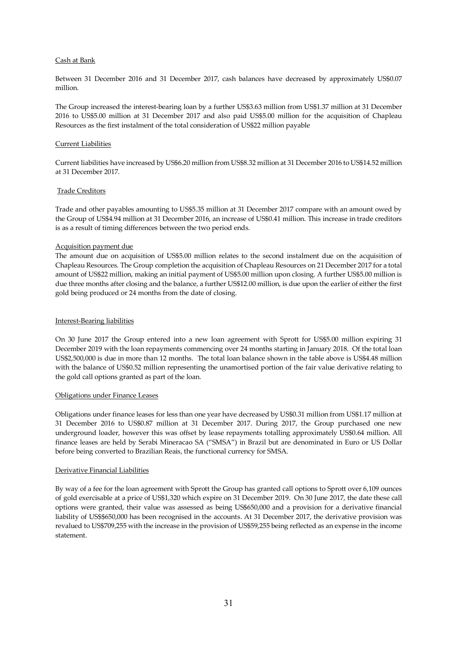# Cash at Bank

Between 31 December 2016 and 31 December 2017, cash balances have decreased by approximately US\$0.07 million.

The Group increased the interest-bearing loan by a further US\$3.63 million from US\$1.37 million at 31 December 2016 to US\$5.00 million at 31 December 2017 and also paid US\$5.00 million for the acquisition of Chapleau Resources as the first instalment of the total consideration of US\$22 million payable

## Current Liabilities

Current liabilities have increased by US\$6.20 million from US\$8.32 million at 31 December 2016 to US\$14.52 million at 31 December 2017.

# Trade Creditors

Trade and other payables amounting to US\$5.35 million at 31 December 2017 compare with an amount owed by the Group of US\$4.94 million at 31 December 2016, an increase of US\$0.41 million. This increase in trade creditors is as a result of timing differences between the two period ends.

# Acquisition payment due

The amount due on acquisition of US\$5.00 million relates to the second instalment due on the acquisition of Chapleau Resources. The Group completion the acquisition of Chapleau Resources on 21 December 2017 for a total amount of US\$22 million, making an initial payment of US\$5.00 million upon closing. A further US\$5.00 million is due three months after closing and the balance, a further US\$12.00 million, is due upon the earlier of either the first gold being produced or 24 months from the date of closing.

# Interest-Bearing liabilities

On 30 June 2017 the Group entered into a new loan agreement with Sprott for US\$5.00 million expiring 31 December 2019 with the loan repayments commencing over 24 months starting in January 2018. Of the total loan US\$2,500,000 is due in more than 12 months. The total loan balance shown in the table above is US\$4.48 million with the balance of US\$0.52 million representing the unamortised portion of the fair value derivative relating to the gold call options granted as part of the loan.

#### Obligations under Finance Leases

Obligations under finance leases for less than one year have decreased by US\$0.31 million from US\$1.17 million at 31 December 2016 to US\$0.87 million at 31 December 2017. During 2017, the Group purchased one new underground loader, however this was offset by lease repayments totalling approximately US\$0.64 million. All finance leases are held by Serabi Mineracao SA ("SMSA") in Brazil but are denominated in Euro or US Dollar before being converted to Brazilian Reais, the functional currency for SMSA.

# Derivative Financial Liabilities

By way of a fee for the loan agreement with Sprott the Group has granted call options to Sprott over 6,109 ounces of gold exercisable at a price of US\$1,320 which expire on 31 December 2019. On 30 June 2017, the date these call options were granted, their value was assessed as being US\$650,000 and a provision for a derivative financial liability of US\$\$650,000 has been recognised in the accounts. At 31 December 2017, the derivative provision was revalued to US\$709,255 with the increase in the provision of US\$59,255 being reflected as an expense in the income statement.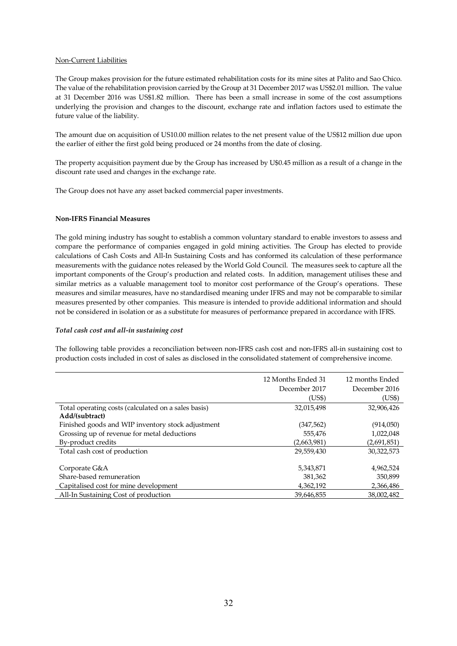# Non-Current Liabilities

The Group makes provision for the future estimated rehabilitation costs for its mine sites at Palito and Sao Chico. The value of the rehabilitation provision carried by the Group at 31 December 2017 was US\$2.01 million. The value at 31 December 2016 was US\$1.82 million. There has been a small increase in some of the cost assumptions underlying the provision and changes to the discount, exchange rate and inflation factors used to estimate the future value of the liability.

The amount due on acquisition of US10.00 million relates to the net present value of the US\$12 million due upon the earlier of either the first gold being produced or 24 months from the date of closing.

The property acquisition payment due by the Group has increased by U\$0.45 million as a result of a change in the discount rate used and changes in the exchange rate.

The Group does not have any asset backed commercial paper investments.

# **Non-IFRS Financial Measures**

The gold mining industry has sought to establish a common voluntary standard to enable investors to assess and compare the performance of companies engaged in gold mining activities. The Group has elected to provide calculations of Cash Costs and All-In Sustaining Costs and has conformed its calculation of these performance measurements with the guidance notes released by the World Gold Council. The measures seek to capture all the important components of the Group's production and related costs. In addition, management utilises these and similar metrics as a valuable management tool to monitor cost performance of the Group's operations. These measures and similar measures, have no standardised meaning under IFRS and may not be comparable to similar measures presented by other companies. This measure is intended to provide additional information and should not be considered in isolation or as a substitute for measures of performance prepared in accordance with IFRS.

# *Total cash cost and all-in sustaining cost*

The following table provides a reconciliation between non-IFRS cash cost and non-IFRS all-in sustaining cost to production costs included in cost of sales as disclosed in the consolidated statement of comprehensive income.

|                                                     | 12 Months Ended 31 | 12 months Ended |
|-----------------------------------------------------|--------------------|-----------------|
|                                                     | December 2017      | December 2016   |
|                                                     | (US\$)             | (US\$)          |
| Total operating costs (calculated on a sales basis) | 32,015,498         | 32,906,426      |
| Add/(subtract)                                      |                    |                 |
| Finished goods and WIP inventory stock adjustment   | (347, 562)         | (914,050)       |
| Grossing up of revenue for metal deductions         | 555,476            | 1,022,048       |
| By-product credits                                  | (2,663,981)        | (2,691,851)     |
| Total cash cost of production                       | 29,559,430         | 30,322,573      |
|                                                     |                    |                 |
| Corporate G&A                                       | 5,343,871          | 4,962,524       |
| Share-based remuneration                            | 381,362            | 350,899         |
| Capitalised cost for mine development               | 4,362,192          | 2,366,486       |
| All-In Sustaining Cost of production                | 39.646.855         | 38.002.482      |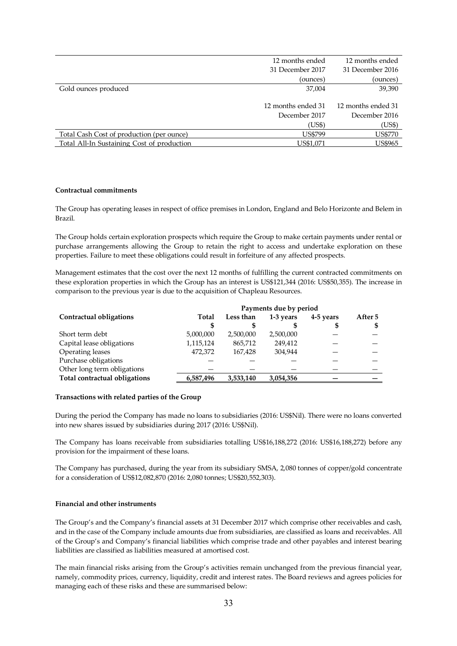|                                           | 12 months ended    | 12 months ended    |
|-------------------------------------------|--------------------|--------------------|
|                                           | 31 December 2017   | 31 December 2016   |
|                                           | (ounces)           | (ounces)           |
| Gold ounces produced                      | 37,004             | 39,390             |
|                                           |                    |                    |
|                                           |                    |                    |
|                                           | 12 months ended 31 | 12 months ended 31 |
|                                           | December 2017      | December 2016      |
|                                           | US\$)              | (US\$)             |
| Total Cash Cost of production (per ounce) | <b>US\$799</b>     | <b>US\$770</b>     |

# **Contractual commitments**

The Group has operating leases in respect of office premises in London, England and Belo Horizonte and Belem in Brazil.

The Group holds certain exploration prospects which require the Group to make certain payments under rental or purchase arrangements allowing the Group to retain the right to access and undertake exploration on these properties. Failure to meet these obligations could result in forfeiture of any affected prospects.

Management estimates that the cost over the next 12 months of fulfilling the current contracted commitments on these exploration properties in which the Group has an interest is US\$121,344 (2016: US\$50,355). The increase in comparison to the previous year is due to the acquisition of Chapleau Resources.

|                                      |           |           | Payments due by period |           |         |
|--------------------------------------|-----------|-----------|------------------------|-----------|---------|
| Contractual obligations              | Total     | Less than | 1-3 years              | 4-5 years | After 5 |
|                                      |           |           |                        | S         | S       |
| Short term debt                      | 5,000,000 | 2,500,000 | 2,500,000              |           |         |
| Capital lease obligations            | 1,115,124 | 865,712   | 249.412                |           |         |
| Operating leases                     | 472,372   | 167.428   | 304.944                |           |         |
| Purchase obligations                 |           |           |                        |           |         |
| Other long term obligations          |           |           |                        |           |         |
| <b>Total contractual obligations</b> | 6,587,496 | 3,533,140 | 3,054,356              |           |         |
|                                      |           |           |                        |           |         |

#### **Transactions with related parties of the Group**

During the period the Company has made no loans to subsidiaries (2016: US\$Nil). There were no loans converted into new shares issued by subsidiaries during 2017 (2016: US\$Nil).

The Company has loans receivable from subsidiaries totalling US\$16,188,272 (2016: US\$16,188,272) before any provision for the impairment of these loans.

The Company has purchased, during the year from its subsidiary SMSA, 2,080 tonnes of copper/gold concentrate for a consideration of US\$12,082,870 (2016: 2,080 tonnes; US\$20,552,303).

#### **Financial and other instruments**

The Group's and the Company's financial assets at 31 December 2017 which comprise other receivables and cash, and in the case of the Company include amounts due from subsidiaries, are classified as loans and receivables. All of the Group's and Company's financial liabilities which comprise trade and other payables and interest bearing liabilities are classified as liabilities measured at amortised cost.

The main financial risks arising from the Group's activities remain unchanged from the previous financial year, namely, commodity prices, currency, liquidity, credit and interest rates. The Board reviews and agrees policies for managing each of these risks and these are summarised below: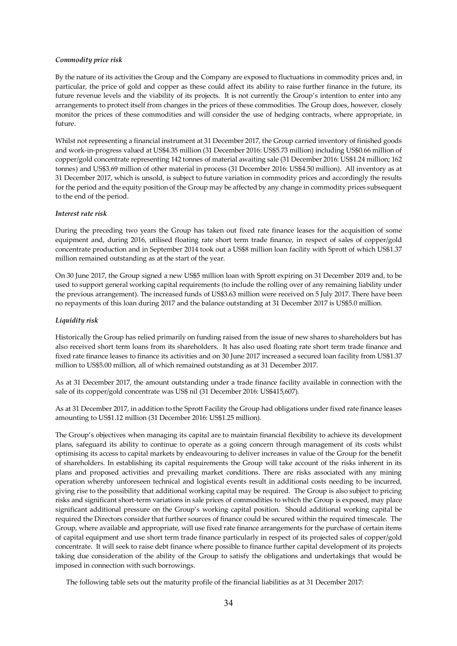# *Commodity price risk*

By the nature of its activities the Group and the Company are exposed to fluctuations in commodity prices and, in particular, the price of gold and copper as these could affect its ability to raise further finance in the future, its future revenue levels and the viability of its projects. It is not currently the Group's intention to enter into any arrangements to protect itself from changes in the prices of these commodities. The Group does, however, closely monitor the prices of these commodities and will consider the use of hedging contracts, where appropriate, in future.

Whilst not representing a financial instrument at 31 December 2017, the Group carried inventory of finished goods and work-in-progress valued at US\$4.35 million (31 December 2016: US\$5.73 million) including US\$0.66 million of copper/gold concentrate representing 142 tonnes of material awaiting sale (31 December 2016: US\$1.24 million; 162 tonnes) and US\$3.69 million of other material in process (31 December 2016: US\$4.50 million). All inventory as at 31 December 2017, which is unsold, is subject to future variation in commodity prices and accordingly the results for the period and the equity position of the Group may be affected by any change in commodity prices subsequent to the end of the period.

# *Interest rate risk*

During the preceding two years the Group has taken out fixed rate finance leases for the acquisition of some equipment and, during 2016, utilised floating rate short term trade finance, in respect of sales of copper/gold concentrate production and in September 2014 took out a US\$8 million loan facility with Sprott of which US\$1.37 million remained outstanding as at the start of the year.

On 30 June 2017, the Group signed a new US\$5 million loan with Sprott expiring on 31 December 2019 and, to be used to support general working capital requirements (to include the rolling over of any remaining liability under the previous arrangement). The increased funds of US\$3.63 million were received on 5 July 2017. There have been no repayments of this loan during 2017 and the balance outstanding at 31 December 2017 is US\$5.0 million.

# *Liquidity risk*

Historically the Group has relied primarily on funding raised from the issue of new shares to shareholders but has also received short term loans from its shareholders. It has also used floating rate short term trade finance and fixed rate finance leases to finance its activities and on 30 June 2017 increased a secured loan facility from US\$1.37 million to US\$5.00 million, all of which remained outstanding as at 31 December 2017.

As at 31 December 2017, the amount outstanding under a trade finance facility available in connection with the sale of its copper/gold concentrate was US\$ nil (31 December 2016: US\$415,607).

As at 31 December 2017, in addition to the Sprott Facility the Group had obligations under fixed rate finance leases amounting to US\$1.12 million (31 December 2016: US\$1.25 million).

The Group's objectives when managing its capital are to maintain financial flexibility to achieve its development plans, safeguard its ability to continue to operate as a going concern through management of its costs whilst optimising its access to capital markets by endeavouring to deliver increases in value of the Group for the benefit of shareholders. In establishing its capital requirements the Group will take account of the risks inherent in its plans and proposed activities and prevailing market conditions. There are risks associated with any mining operation whereby unforeseen technical and logistical events result in additional costs needing to be incurred, giving rise to the possibility that additional working capital may be required. The Group is also subject to pricing risks and significant short-term variations in sale prices of commodities to which the Group is exposed, may place significant additional pressure on the Group's working capital position. Should additional working capital be required the Directors consider that further sources of finance could be secured within the required timescale. The Group, where available and appropriate, will use fixed rate finance arrangements for the purchase of certain items of capital equipment and use short term trade finance particularly in respect of its projected sales of copper/gold concentrate. It will seek to raise debt finance where possible to finance further capital development of its projects taking due consideration of the ability of the Group to satisfy the obligations and undertakings that would be imposed in connection with such borrowings.

The following table sets out the maturity profile of the financial liabilities as at 31 December 2017: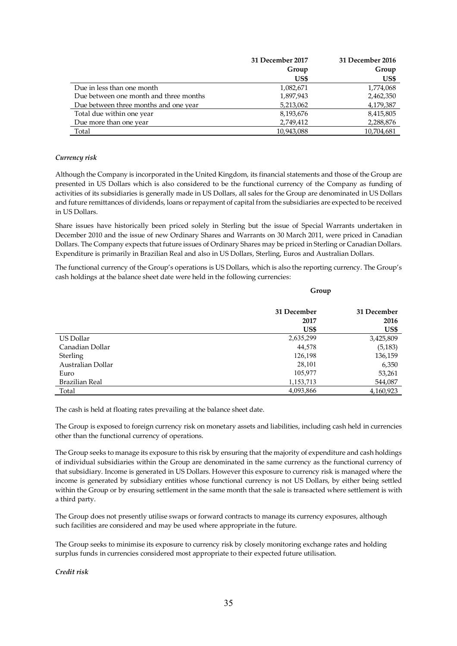|                                        | 31 December 2017 | 31 December 2016 |
|----------------------------------------|------------------|------------------|
|                                        | Group            | Group            |
|                                        | US\$             | US\$             |
| Due in less than one month             | 1,082,671        | 1,774,068        |
| Due between one month and three months | 1,897,943        | 2,462,350        |
| Due between three months and one year  | 5,213,062        | 4,179,387        |
| Total due within one year              | 8,193,676        | 8,415,805        |
| Due more than one year                 | 2,749,412        | 2,288,876        |
| Total                                  | 10,943,088       | 10,704,681       |

# *Currency risk*

Although the Company is incorporated in the United Kingdom, its financial statements and those of the Group are presented in US Dollars which is also considered to be the functional currency of the Company as funding of activities of its subsidiaries is generally made in US Dollars, all sales for the Group are denominated in US Dollars and future remittances of dividends, loans or repayment of capital from the subsidiaries are expected to be received in US Dollars.

Share issues have historically been priced solely in Sterling but the issue of Special Warrants undertaken in December 2010 and the issue of new Ordinary Shares and Warrants on 30 March 2011, were priced in Canadian Dollars. The Company expects that future issues of Ordinary Shares may be priced in Sterling or Canadian Dollars. Expenditure is primarily in Brazilian Real and also in US Dollars, Sterling, Euros and Australian Dollars.

The functional currency of the Group's operations is US Dollars, which is also the reporting currency. The Group's cash holdings at the balance sheet date were held in the following currencies:

**Group** 

|                   | 31 December | 31 December |
|-------------------|-------------|-------------|
|                   | 2017        | 2016        |
|                   | US\$        | US\$        |
| US Dollar         | 2,635,299   | 3,425,809   |
| Canadian Dollar   | 44,578      | (5, 183)    |
| Sterling          | 126,198     | 136,159     |
| Australian Dollar | 28,101      | 6,350       |
| Euro              | 105,977     | 53,261      |
| Brazilian Real    | 1,153,713   | 544,087     |
| Total             | 4,093,866   | 4,160,923   |

The cash is held at floating rates prevailing at the balance sheet date.

The Group is exposed to foreign currency risk on monetary assets and liabilities, including cash held in currencies other than the functional currency of operations.

The Group seeks to manage its exposure to this risk by ensuring that the majority of expenditure and cash holdings of individual subsidiaries within the Group are denominated in the same currency as the functional currency of that subsidiary. Income is generated in US Dollars. However this exposure to currency risk is managed where the income is generated by subsidiary entities whose functional currency is not US Dollars, by either being settled within the Group or by ensuring settlement in the same month that the sale is transacted where settlement is with a third party.

The Group does not presently utilise swaps or forward contracts to manage its currency exposures, although such facilities are considered and may be used where appropriate in the future.

The Group seeks to minimise its exposure to currency risk by closely monitoring exchange rates and holding surplus funds in currencies considered most appropriate to their expected future utilisation.

*Credit risk*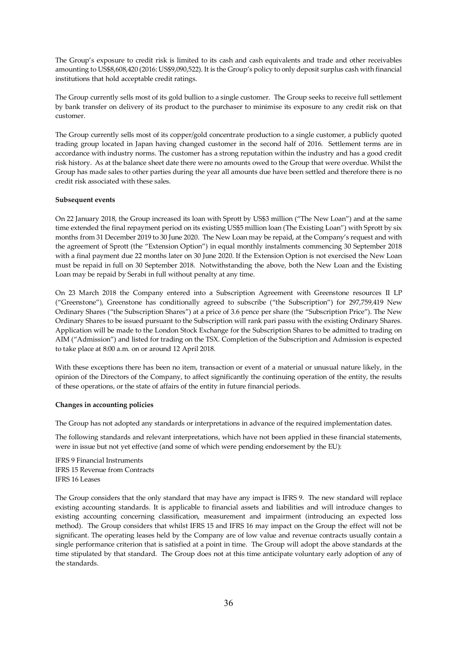The Group's exposure to credit risk is limited to its cash and cash equivalents and trade and other receivables amounting to US\$8,608,420 (2016: US\$9,090,522). It is the Group's policy to only deposit surplus cash with financial institutions that hold acceptable credit ratings.

The Group currently sells most of its gold bullion to a single customer. The Group seeks to receive full settlement by bank transfer on delivery of its product to the purchaser to minimise its exposure to any credit risk on that customer.

The Group currently sells most of its copper/gold concentrate production to a single customer, a publicly quoted trading group located in Japan having changed customer in the second half of 2016. Settlement terms are in accordance with industry norms. The customer has a strong reputation within the industry and has a good credit risk history. As at the balance sheet date there were no amounts owed to the Group that were overdue. Whilst the Group has made sales to other parties during the year all amounts due have been settled and therefore there is no credit risk associated with these sales.

# **Subsequent events**

On 22 January 2018, the Group increased its loan with Sprott by US\$3 million ("The New Loan") and at the same time extended the final repayment period on its existing US\$5 million loan (The Existing Loan") with Sprott by six months from 31 December 2019 to 30 June 2020. The New Loan may be repaid, at the Company's request and with the agreement of Sprott (the "Extension Option") in equal monthly instalments commencing 30 September 2018 with a final payment due 22 months later on 30 June 2020. If the Extension Option is not exercised the New Loan must be repaid in full on 30 September 2018. Notwithstanding the above, both the New Loan and the Existing Loan may be repaid by Serabi in full without penalty at any time.

On 23 March 2018 the Company entered into a Subscription Agreement with Greenstone resources II LP ("Greenstone"), Greenstone has conditionally agreed to subscribe ("the Subscription") for 297,759,419 New Ordinary Shares ("the Subscription Shares") at a price of 3.6 pence per share (the "Subscription Price"). The New Ordinary Shares to be issued pursuant to the Subscription will rank pari passu with the existing Ordinary Shares. Application will be made to the London Stock Exchange for the Subscription Shares to be admitted to trading on AIM ("Admission") and listed for trading on the TSX. Completion of the Subscription and Admission is expected to take place at 8:00 a.m. on or around 12 April 2018.

With these exceptions there has been no item, transaction or event of a material or unusual nature likely, in the opinion of the Directors of the Company, to affect significantly the continuing operation of the entity, the results of these operations, or the state of affairs of the entity in future financial periods.

# **Changes in accounting policies**

The Group has not adopted any standards or interpretations in advance of the required implementation dates.

The following standards and relevant interpretations, which have not been applied in these financial statements, were in issue but not yet effective (and some of which were pending endorsement by the EU):

lFRS 9 Financial Instruments lFRS 15 Revenue from Contracts IFRS 16 Leases

The Group considers that the only standard that may have any impact is IFRS 9. The new standard will replace existing accounting standards. It is applicable to financial assets and liabilities and will introduce changes to existing accounting concerning classification, measurement and impairment (introducing an expected loss method). The Group considers that whilst IFRS 15 and IFRS 16 may impact on the Group the effect will not be significant. The operating leases held by the Company are of low value and revenue contracts usually contain a single performance criterion that is satisfied at a point in time. The Group will adopt the above standards at the time stipulated by that standard. The Group does not at this time anticipate voluntary early adoption of any of the standards.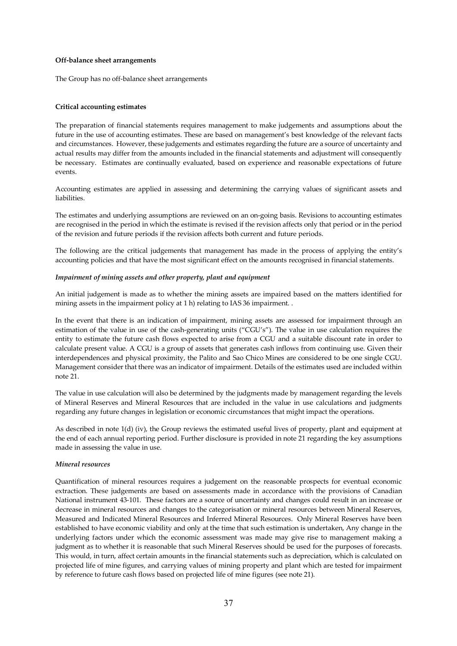#### **Off-balance sheet arrangements**

The Group has no off-balance sheet arrangements

# **Critical accounting estimates**

The preparation of financial statements requires management to make judgements and assumptions about the future in the use of accounting estimates. These are based on management's best knowledge of the relevant facts and circumstances. However, these judgements and estimates regarding the future are a source of uncertainty and actual results may differ from the amounts included in the financial statements and adjustment will consequently be necessary. Estimates are continually evaluated, based on experience and reasonable expectations of future events.

Accounting estimates are applied in assessing and determining the carrying values of significant assets and liabilities.

The estimates and underlying assumptions are reviewed on an on-going basis. Revisions to accounting estimates are recognised in the period in which the estimate is revised if the revision affects only that period or in the period of the revision and future periods if the revision affects both current and future periods.

The following are the critical judgements that management has made in the process of applying the entity's accounting policies and that have the most significant effect on the amounts recognised in financial statements.

# *Impairment of mining assets and other property, plant and equipment*

An initial judgement is made as to whether the mining assets are impaired based on the matters identified for mining assets in the impairment policy at 1 h) relating to IAS 36 impairment. .

In the event that there is an indication of impairment, mining assets are assessed for impairment through an estimation of the value in use of the cash-generating units ("CGU's"). The value in use calculation requires the entity to estimate the future cash flows expected to arise from a CGU and a suitable discount rate in order to calculate present value. A CGU is a group of assets that generates cash inflows from continuing use. Given their interdependences and physical proximity, the Palito and Sao Chico Mines are considered to be one single CGU. Management consider that there was an indicator of impairment. Details of the estimates used are included within note 21.

The value in use calculation will also be determined by the judgments made by management regarding the levels of Mineral Reserves and Mineral Resources that are included in the value in use calculations and judgments regarding any future changes in legislation or economic circumstances that might impact the operations.

As described in note 1(d) (iv), the Group reviews the estimated useful lives of property, plant and equipment at the end of each annual reporting period. Further disclosure is provided in note 21 regarding the key assumptions made in assessing the value in use.

# *Mineral resources*

Quantification of mineral resources requires a judgement on the reasonable prospects for eventual economic extraction. These judgements are based on assessments made in accordance with the provisions of Canadian National instrument 43-101. These factors are a source of uncertainty and changes could result in an increase or decrease in mineral resources and changes to the categorisation or mineral resources between Mineral Reserves, Measured and Indicated Mineral Resources and Inferred Mineral Resources. Only Mineral Reserves have been established to have economic viability and only at the time that such estimation is undertaken, Any change in the underlying factors under which the economic assessment was made may give rise to management making a judgment as to whether it is reasonable that such Mineral Reserves should be used for the purposes of forecasts. This would, in turn, affect certain amounts in the financial statements such as depreciation, which is calculated on projected life of mine figures, and carrying values of mining property and plant which are tested for impairment by reference to future cash flows based on projected life of mine figures (see note 21).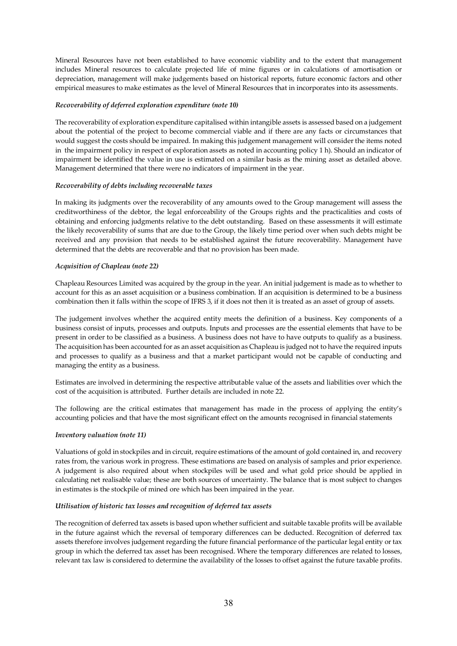Mineral Resources have not been established to have economic viability and to the extent that management includes Mineral resources to calculate projected life of mine figures or in calculations of amortisation or depreciation, management will make judgements based on historical reports, future economic factors and other empirical measures to make estimates as the level of Mineral Resources that in incorporates into its assessments.

# *Recoverability of deferred exploration expenditure (note 10)*

The recoverability of exploration expenditure capitalised within intangible assets is assessed based on a judgement about the potential of the project to become commercial viable and if there are any facts or circumstances that would suggest the costs should be impaired. In making this judgement management will consider the items noted in the impairment policy in respect of exploration assets as noted in accounting policy 1 h). Should an indicator of impairment be identified the value in use is estimated on a similar basis as the mining asset as detailed above. Management determined that there were no indicators of impairment in the year.

# *Recoverability of debts including recoverable taxes*

In making its judgments over the recoverability of any amounts owed to the Group management will assess the creditworthiness of the debtor, the legal enforceability of the Groups rights and the practicalities and costs of obtaining and enforcing judgments relative to the debt outstanding. Based on these assessments it will estimate the likely recoverability of sums that are due to the Group, the likely time period over when such debts might be received and any provision that needs to be established against the future recoverability. Management have determined that the debts are recoverable and that no provision has been made.

# *Acquisition of Chapleau (note 22)*

Chapleau Resources Limited was acquired by the group in the year. An initial judgement is made as to whether to account for this as an asset acquisition or a business combination. If an acquisition is determined to be a business combination then it falls within the scope of IFRS 3, if it does not then it is treated as an asset of group of assets.

The judgement involves whether the acquired entity meets the definition of a business. Key components of a business consist of inputs, processes and outputs. Inputs and processes are the essential elements that have to be present in order to be classified as a business. A business does not have to have outputs to qualify as a business. The acquisition has been accounted for as an asset acquisition as Chapleau is judged not to have the required inputs and processes to qualify as a business and that a market participant would not be capable of conducting and managing the entity as a business.

Estimates are involved in determining the respective attributable value of the assets and liabilities over which the cost of the acquisition is attributed. Further details are included in note 22.

The following are the critical estimates that management has made in the process of applying the entity's accounting policies and that have the most significant effect on the amounts recognised in financial statements

#### *Inventory valuation (note 11)*

Valuations of gold in stockpiles and in circuit, require estimations of the amount of gold contained in, and recovery rates from, the various work in progress. These estimations are based on analysis of samples and prior experience. A judgement is also required about when stockpiles will be used and what gold price should be applied in calculating net realisable value; these are both sources of uncertainty. The balance that is most subject to changes in estimates is the stockpile of mined ore which has been impaired in the year.

#### *Utilisation of historic tax losses and recognition of deferred tax assets*

The recognition of deferred tax assets is based upon whether sufficient and suitable taxable profits will be available in the future against which the reversal of temporary differences can be deducted. Recognition of deferred tax assets therefore involves judgement regarding the future financial performance of the particular legal entity or tax group in which the deferred tax asset has been recognised. Where the temporary differences are related to losses, relevant tax law is considered to determine the availability of the losses to offset against the future taxable profits.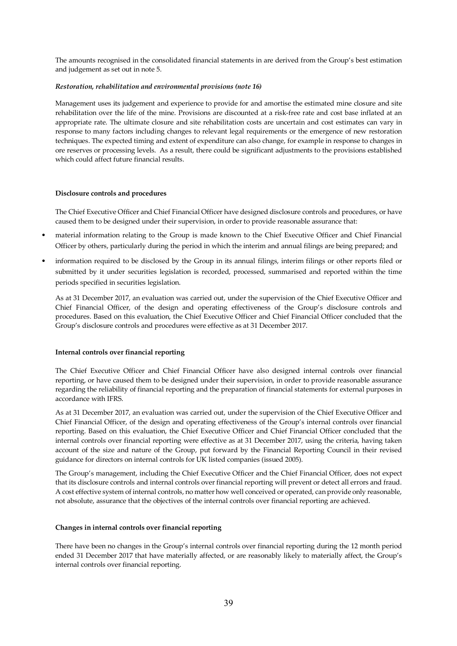The amounts recognised in the consolidated financial statements in are derived from the Group's best estimation and judgement as set out in note 5.

# *Restoration, rehabilitation and environmental provisions (note 16)*

Management uses its judgement and experience to provide for and amortise the estimated mine closure and site rehabilitation over the life of the mine. Provisions are discounted at a risk-free rate and cost base inflated at an appropriate rate. The ultimate closure and site rehabilitation costs are uncertain and cost estimates can vary in response to many factors including changes to relevant legal requirements or the emergence of new restoration techniques. The expected timing and extent of expenditure can also change, for example in response to changes in ore reserves or processing levels. As a result, there could be significant adjustments to the provisions established which could affect future financial results.

#### **Disclosure controls and procedures**

The Chief Executive Officer and Chief Financial Officer have designed disclosure controls and procedures, or have caused them to be designed under their supervision, in order to provide reasonable assurance that:

- material information relating to the Group is made known to the Chief Executive Officer and Chief Financial Officer by others, particularly during the period in which the interim and annual filings are being prepared; and
- information required to be disclosed by the Group in its annual filings, interim filings or other reports filed or submitted by it under securities legislation is recorded, processed, summarised and reported within the time periods specified in securities legislation.

As at 31 December 2017, an evaluation was carried out, under the supervision of the Chief Executive Officer and Chief Financial Officer, of the design and operating effectiveness of the Group's disclosure controls and procedures. Based on this evaluation, the Chief Executive Officer and Chief Financial Officer concluded that the Group's disclosure controls and procedures were effective as at 31 December 2017.

#### **Internal controls over financial reporting**

The Chief Executive Officer and Chief Financial Officer have also designed internal controls over financial reporting, or have caused them to be designed under their supervision, in order to provide reasonable assurance regarding the reliability of financial reporting and the preparation of financial statements for external purposes in accordance with IFRS.

As at 31 December 2017, an evaluation was carried out, under the supervision of the Chief Executive Officer and Chief Financial Officer, of the design and operating effectiveness of the Group's internal controls over financial reporting. Based on this evaluation, the Chief Executive Officer and Chief Financial Officer concluded that the internal controls over financial reporting were effective as at 31 December 2017, using the criteria, having taken account of the size and nature of the Group, put forward by the Financial Reporting Council in their revised guidance for directors on internal controls for UK listed companies (issued 2005).

The Group's management, including the Chief Executive Officer and the Chief Financial Officer, does not expect that its disclosure controls and internal controls over financial reporting will prevent or detect all errors and fraud. A cost effective system of internal controls, no matter how well conceived or operated, can provide only reasonable, not absolute, assurance that the objectives of the internal controls over financial reporting are achieved.

#### **Changes in internal controls over financial reporting**

There have been no changes in the Group's internal controls over financial reporting during the 12 month period ended 31 December 2017 that have materially affected, or are reasonably likely to materially affect, the Group's internal controls over financial reporting.